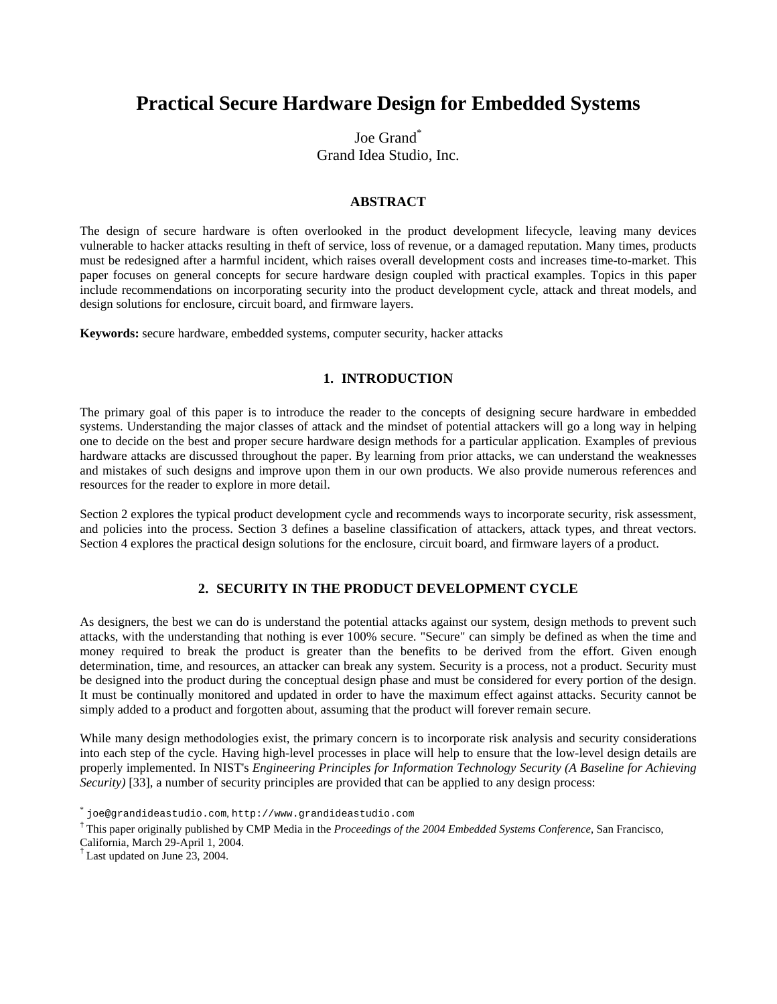# **Practical Secure Hardware Design for Embedded Systems**

Joe Grand<sup>\*</sup> Grand Idea Studio, Inc.

## **ABSTRACT**

The design of secure hardware is often overlooked in the product development lifecycle, leaving many devices vulnerable to hacker attacks resulting in theft of service, loss of revenue, or a damaged reputation. Many times, products must be redesigned after a harmful incident, which raises overall development costs and increases time-to-market. This paper focuses on general concepts for secure hardware design coupled with practical examples. Topics in this paper include recommendations on incorporating security into the product development cycle, attack and threat models, and design solutions for enclosure, circuit board, and firmware layers.

**Keywords:** secure hardware, embedded systems, computer security, hacker attacks

## **1. INTRODUCTION**

The primary goal of this paper is to introduce the reader to the concepts of designing secure hardware in embedded systems. Understanding the major classes of attack and the mindset of potential attackers will go a long way in helping one to decide on the best and proper secure hardware design methods for a particular application. Examples of previous hardware attacks are discussed throughout the paper. By learning from prior attacks, we can understand the weaknesses and mistakes of such designs and improve upon them in our own products. We also provide numerous references and resources for the reader to explore in more detail.

Section 2 explores the typical product development cycle and recommends ways to incorporate security, risk assessment, and policies into the process. Section 3 defines a baseline classification of attackers, attack types, and threat vectors. Section 4 explores the practical design solutions for the enclosure, circuit board, and firmware layers of a product.

# **2. SECURITY IN THE PRODUCT DEVELOPMENT CYCLE**

As designers, the best we can do is understand the potential attacks against our system, design methods to prevent such attacks, with the understanding that nothing is ever 100% secure. "Secure" can simply be defined as when the time and money required to break the product is greater than the benefits to be derived from the effort. Given enough determination, time, and resources, an attacker can break any system. Security is a process, not a product. Security must be designed into the product during the conceptual design phase and must be considered for every portion of the design. It must be continually monitored and updated in order to have the maximum effect against attacks. Security cannot be simply added to a product and forgotten about, assuming that the product will forever remain secure.

While many design methodologies exist, the primary concern is to incorporate risk analysis and security considerations into each step of the cycle. Having high-level processes in place will help to ensure that the low-level design details are properly implemented. In NIST's *Engineering Principles for Information Technology Security (A Baseline for Achieving Security*) [33], a number of security principles are provided that can be applied to any design process:

<sup>\*</sup> joe@grandideastudio.com, http://www.grandideastudio.com

<sup>†</sup> This paper originally published by CMP Media in the *Proceedings of the 2004 Embedded Systems Conference*, San Francisco,

California, March 29-April 1, 2004.

<sup>†</sup> Last updated on June 23, 2004.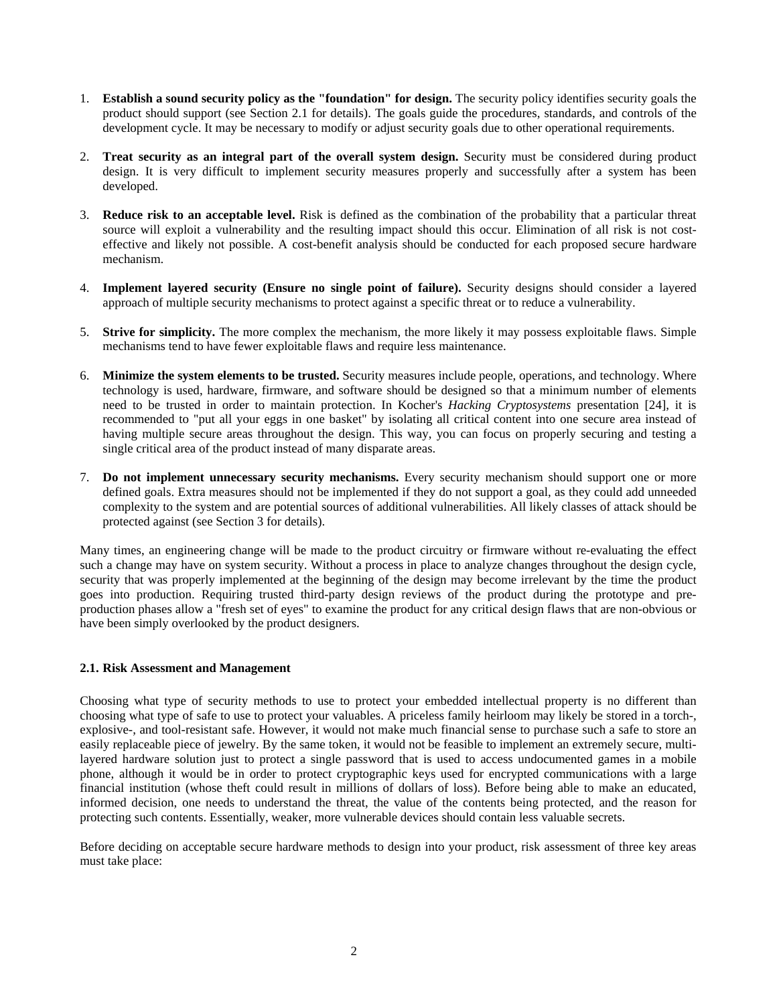- 1. **Establish a sound security policy as the "foundation" for design.** The security policy identifies security goals the product should support (see Section 2.1 for details). The goals guide the procedures, standards, and controls of the development cycle. It may be necessary to modify or adjust security goals due to other operational requirements.
- 2. **Treat security as an integral part of the overall system design.** Security must be considered during product design. It is very difficult to implement security measures properly and successfully after a system has been developed.
- 3. **Reduce risk to an acceptable level.** Risk is defined as the combination of the probability that a particular threat source will exploit a vulnerability and the resulting impact should this occur. Elimination of all risk is not costeffective and likely not possible. A cost-benefit analysis should be conducted for each proposed secure hardware mechanism.
- 4. **Implement layered security (Ensure no single point of failure).** Security designs should consider a layered approach of multiple security mechanisms to protect against a specific threat or to reduce a vulnerability.
- 5. **Strive for simplicity.** The more complex the mechanism, the more likely it may possess exploitable flaws. Simple mechanisms tend to have fewer exploitable flaws and require less maintenance.
- 6. **Minimize the system elements to be trusted.** Security measures include people, operations, and technology. Where technology is used, hardware, firmware, and software should be designed so that a minimum number of elements need to be trusted in order to maintain protection. In Kocher's *Hacking Cryptosystems* presentation [24], it is recommended to "put all your eggs in one basket" by isolating all critical content into one secure area instead of having multiple secure areas throughout the design. This way, you can focus on properly securing and testing a single critical area of the product instead of many disparate areas.
- 7. **Do not implement unnecessary security mechanisms.** Every security mechanism should support one or more defined goals. Extra measures should not be implemented if they do not support a goal, as they could add unneeded complexity to the system and are potential sources of additional vulnerabilities. All likely classes of attack should be protected against (see Section 3 for details).

Many times, an engineering change will be made to the product circuitry or firmware without re-evaluating the effect such a change may have on system security. Without a process in place to analyze changes throughout the design cycle, security that was properly implemented at the beginning of the design may become irrelevant by the time the product goes into production. Requiring trusted third-party design reviews of the product during the prototype and preproduction phases allow a "fresh set of eyes" to examine the product for any critical design flaws that are non-obvious or have been simply overlooked by the product designers.

## **2.1. Risk Assessment and Management**

Choosing what type of security methods to use to protect your embedded intellectual property is no different than choosing what type of safe to use to protect your valuables. A priceless family heirloom may likely be stored in a torch-, explosive-, and tool-resistant safe. However, it would not make much financial sense to purchase such a safe to store an easily replaceable piece of jewelry. By the same token, it would not be feasible to implement an extremely secure, multilayered hardware solution just to protect a single password that is used to access undocumented games in a mobile phone, although it would be in order to protect cryptographic keys used for encrypted communications with a large financial institution (whose theft could result in millions of dollars of loss). Before being able to make an educated, informed decision, one needs to understand the threat, the value of the contents being protected, and the reason for protecting such contents. Essentially, weaker, more vulnerable devices should contain less valuable secrets.

Before deciding on acceptable secure hardware methods to design into your product, risk assessment of three key areas must take place: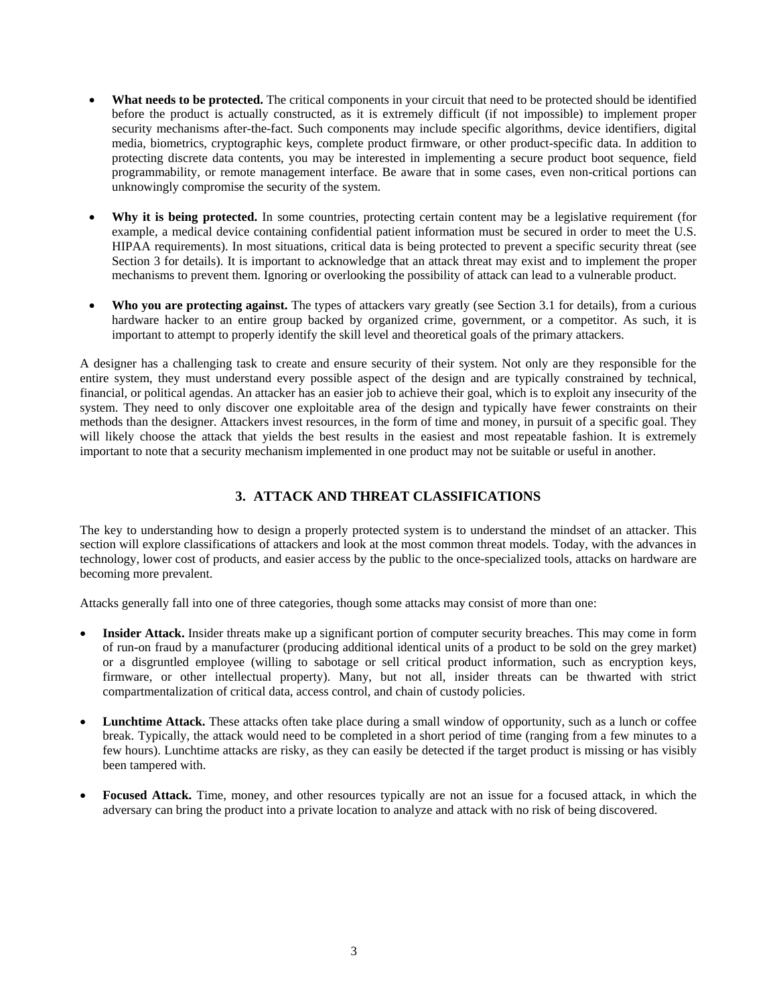- **What needs to be protected.** The critical components in your circuit that need to be protected should be identified before the product is actually constructed, as it is extremely difficult (if not impossible) to implement proper security mechanisms after-the-fact. Such components may include specific algorithms, device identifiers, digital media, biometrics, cryptographic keys, complete product firmware, or other product-specific data. In addition to protecting discrete data contents, you may be interested in implementing a secure product boot sequence, field programmability, or remote management interface. Be aware that in some cases, even non-critical portions can unknowingly compromise the security of the system.
- Why it is being protected. In some countries, protecting certain content may be a legislative requirement (for example, a medical device containing confidential patient information must be secured in order to meet the U.S. HIPAA requirements). In most situations, critical data is being protected to prevent a specific security threat (see Section 3 for details). It is important to acknowledge that an attack threat may exist and to implement the proper mechanisms to prevent them. Ignoring or overlooking the possibility of attack can lead to a vulnerable product.
- **Who you are protecting against.** The types of attackers vary greatly (see Section 3.1 for details), from a curious hardware hacker to an entire group backed by organized crime, government, or a competitor. As such, it is important to attempt to properly identify the skill level and theoretical goals of the primary attackers.

A designer has a challenging task to create and ensure security of their system. Not only are they responsible for the entire system, they must understand every possible aspect of the design and are typically constrained by technical, financial, or political agendas. An attacker has an easier job to achieve their goal, which is to exploit any insecurity of the system. They need to only discover one exploitable area of the design and typically have fewer constraints on their methods than the designer. Attackers invest resources, in the form of time and money, in pursuit of a specific goal. They will likely choose the attack that yields the best results in the easiest and most repeatable fashion. It is extremely important to note that a security mechanism implemented in one product may not be suitable or useful in another.

# **3. ATTACK AND THREAT CLASSIFICATIONS**

The key to understanding how to design a properly protected system is to understand the mindset of an attacker. This section will explore classifications of attackers and look at the most common threat models. Today, with the advances in technology, lower cost of products, and easier access by the public to the once-specialized tools, attacks on hardware are becoming more prevalent.

Attacks generally fall into one of three categories, though some attacks may consist of more than one:

- **Insider Attack.** Insider threats make up a significant portion of computer security breaches. This may come in form of run-on fraud by a manufacturer (producing additional identical units of a product to be sold on the grey market) or a disgruntled employee (willing to sabotage or sell critical product information, such as encryption keys, firmware, or other intellectual property). Many, but not all, insider threats can be thwarted with strict compartmentalization of critical data, access control, and chain of custody policies.
- **Lunchtime Attack.** These attacks often take place during a small window of opportunity, such as a lunch or coffee break. Typically, the attack would need to be completed in a short period of time (ranging from a few minutes to a few hours). Lunchtime attacks are risky, as they can easily be detected if the target product is missing or has visibly been tampered with.
- **Focused Attack.** Time, money, and other resources typically are not an issue for a focused attack, in which the adversary can bring the product into a private location to analyze and attack with no risk of being discovered.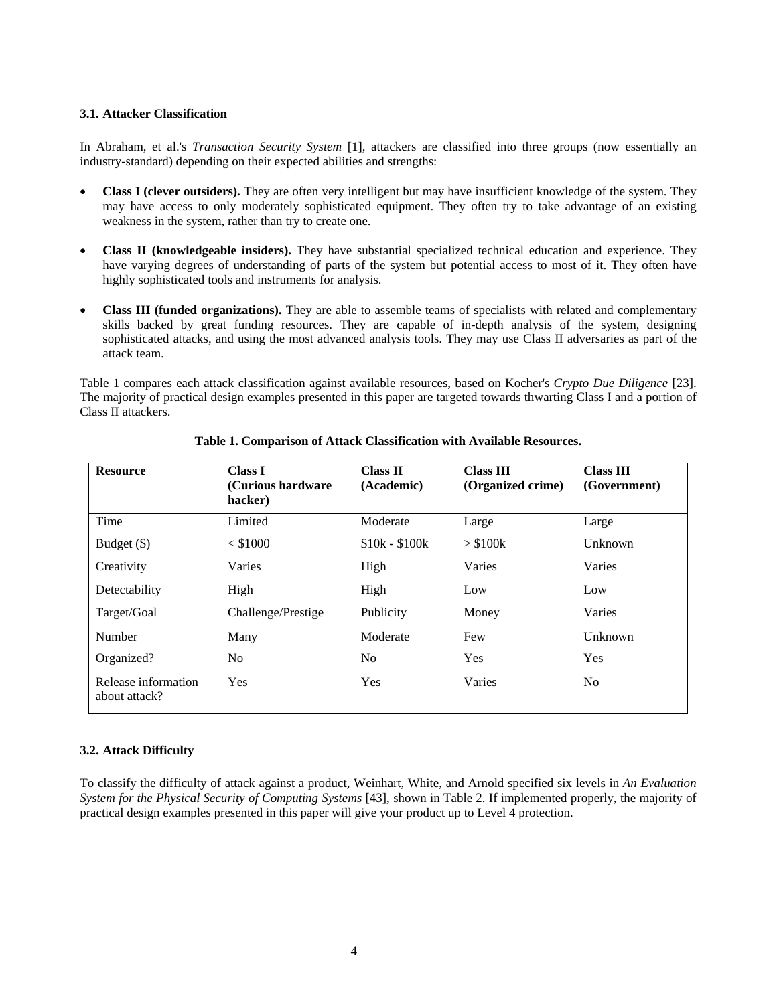#### **3.1. Attacker Classification**

In Abraham, et al.'s *Transaction Security System* [1], attackers are classified into three groups (now essentially an industry-standard) depending on their expected abilities and strengths:

- **Class I (clever outsiders).** They are often very intelligent but may have insufficient knowledge of the system. They may have access to only moderately sophisticated equipment. They often try to take advantage of an existing weakness in the system, rather than try to create one.
- **Class II (knowledgeable insiders).** They have substantial specialized technical education and experience. They have varying degrees of understanding of parts of the system but potential access to most of it. They often have highly sophisticated tools and instruments for analysis.
- **Class III (funded organizations).** They are able to assemble teams of specialists with related and complementary skills backed by great funding resources. They are capable of in-depth analysis of the system, designing sophisticated attacks, and using the most advanced analysis tools. They may use Class II adversaries as part of the attack team.

Table 1 compares each attack classification against available resources, based on Kocher's *Crypto Due Diligence* [23]. The majority of practical design examples presented in this paper are targeted towards thwarting Class I and a portion of Class II attackers.

| <b>Resource</b>                      | <b>Class I</b><br>(Curious hardware)<br>hacker) | <b>Class II</b><br>(Academic) | <b>Class III</b><br>(Organized crime) | <b>Class III</b><br>(Government) |
|--------------------------------------|-------------------------------------------------|-------------------------------|---------------------------------------|----------------------------------|
| Time                                 | Limited                                         | Moderate                      | Large                                 | Large                            |
| Budget (\$)                          | $<$ \$1000                                      | $$10k - $100k$                | > \$100k                              | Unknown                          |
| Creativity                           | Varies                                          | High                          | Varies                                | Varies                           |
| Detectability                        | High                                            | High                          | Low                                   | Low                              |
| Target/Goal                          | Challenge/Prestige                              | Publicity                     | Money                                 | Varies                           |
| Number                               | Many                                            | Moderate                      | Few                                   | Unknown                          |
| Organized?                           | No.                                             | N <sub>0</sub>                | Yes                                   | Yes                              |
| Release information<br>about attack? | <b>Yes</b>                                      | Yes                           | Varies                                | No.                              |

## **Table 1. Comparison of Attack Classification with Available Resources.**

## **3.2. Attack Difficulty**

To classify the difficulty of attack against a product, Weinhart, White, and Arnold specified six levels in *An Evaluation System for the Physical Security of Computing Systems* [43], shown in Table 2. If implemented properly, the majority of practical design examples presented in this paper will give your product up to Level 4 protection.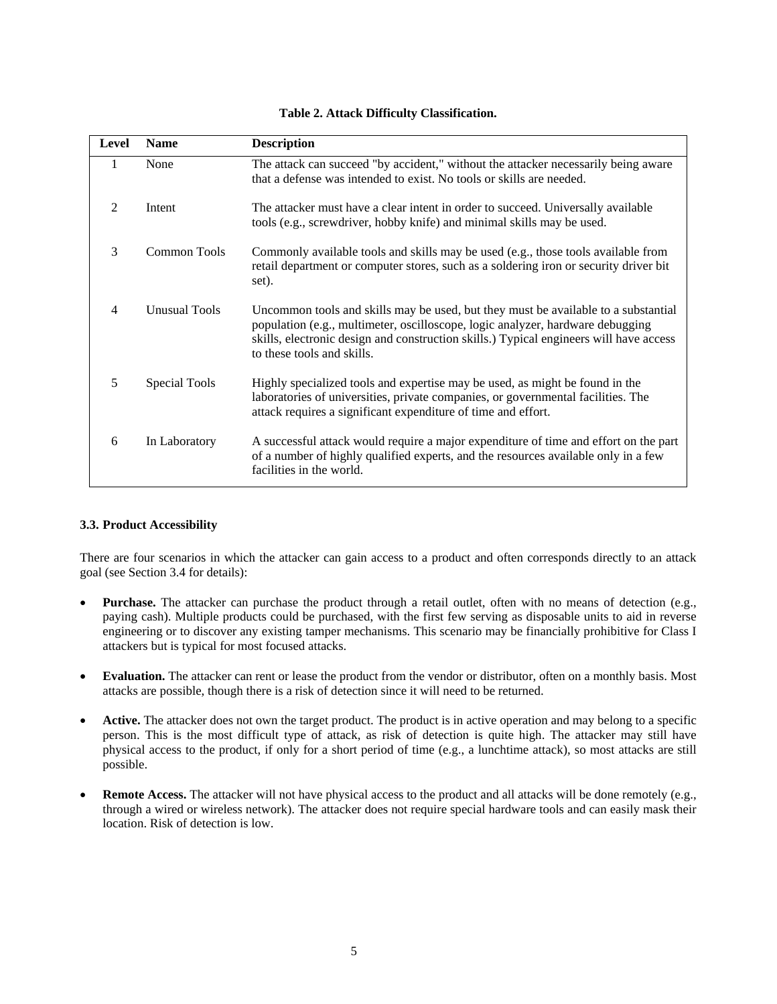| Table 2. Attack Difficulty Classification. |  |
|--------------------------------------------|--|
|--------------------------------------------|--|

| Level          | <b>Name</b>          | <b>Description</b>                                                                                                                                                                                                                                                                           |
|----------------|----------------------|----------------------------------------------------------------------------------------------------------------------------------------------------------------------------------------------------------------------------------------------------------------------------------------------|
| 1              | None                 | The attack can succeed "by accident," without the attacker necessarily being aware<br>that a defense was intended to exist. No tools or skills are needed.                                                                                                                                   |
| $\mathfrak{D}$ | Intent               | The attacker must have a clear intent in order to succeed. Universally available<br>tools (e.g., screwdriver, hobby knife) and minimal skills may be used.                                                                                                                                   |
| 3              | Common Tools         | Commonly available tools and skills may be used (e.g., those tools available from<br>retail department or computer stores, such as a soldering iron or security driver bit<br>set).                                                                                                          |
| 4              | <b>Unusual Tools</b> | Uncommon tools and skills may be used, but they must be available to a substantial<br>population (e.g., multimeter, oscilloscope, logic analyzer, hardware debugging<br>skills, electronic design and construction skills.) Typical engineers will have access<br>to these tools and skills. |
| 5              | Special Tools        | Highly specialized tools and expertise may be used, as might be found in the<br>laboratories of universities, private companies, or governmental facilities. The<br>attack requires a significant expenditure of time and effort.                                                            |
| 6              | In Laboratory        | A successful attack would require a major expenditure of time and effort on the part<br>of a number of highly qualified experts, and the resources available only in a few<br>facilities in the world.                                                                                       |

## **3.3. Product Accessibility**

There are four scenarios in which the attacker can gain access to a product and often corresponds directly to an attack goal (see Section 3.4 for details):

- **Purchase.** The attacker can purchase the product through a retail outlet, often with no means of detection (e.g., paying cash). Multiple products could be purchased, with the first few serving as disposable units to aid in reverse engineering or to discover any existing tamper mechanisms. This scenario may be financially prohibitive for Class I attackers but is typical for most focused attacks.
- **Evaluation.** The attacker can rent or lease the product from the vendor or distributor, often on a monthly basis. Most attacks are possible, though there is a risk of detection since it will need to be returned.
- **Active.** The attacker does not own the target product. The product is in active operation and may belong to a specific person. This is the most difficult type of attack, as risk of detection is quite high. The attacker may still have physical access to the product, if only for a short period of time (e.g., a lunchtime attack), so most attacks are still possible.
- **Remote Access.** The attacker will not have physical access to the product and all attacks will be done remotely (e.g., through a wired or wireless network). The attacker does not require special hardware tools and can easily mask their location. Risk of detection is low.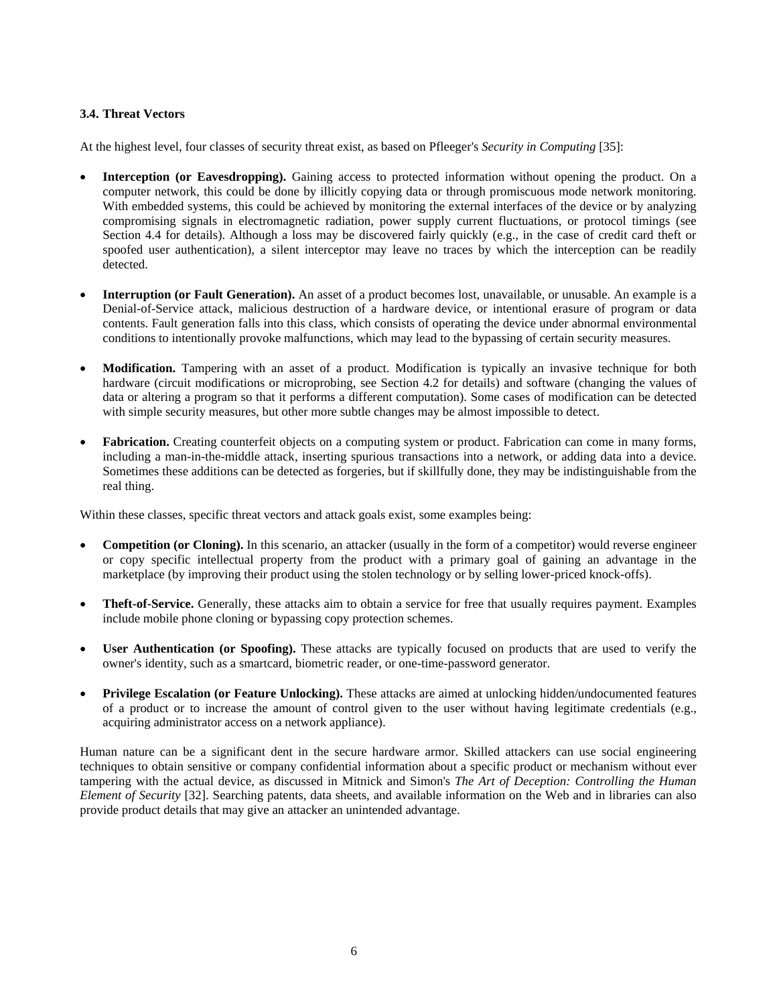## **3.4. Threat Vectors**

At the highest level, four classes of security threat exist, as based on Pfleeger's *Security in Computing* [35]:

- **Interception (or Eavesdropping).** Gaining access to protected information without opening the product. On a computer network, this could be done by illicitly copying data or through promiscuous mode network monitoring. With embedded systems, this could be achieved by monitoring the external interfaces of the device or by analyzing compromising signals in electromagnetic radiation, power supply current fluctuations, or protocol timings (see Section 4.4 for details). Although a loss may be discovered fairly quickly (e.g., in the case of credit card theft or spoofed user authentication), a silent interceptor may leave no traces by which the interception can be readily detected.
- **Interruption (or Fault Generation).** An asset of a product becomes lost, unavailable, or unusable. An example is a Denial-of-Service attack, malicious destruction of a hardware device, or intentional erasure of program or data contents. Fault generation falls into this class, which consists of operating the device under abnormal environmental conditions to intentionally provoke malfunctions, which may lead to the bypassing of certain security measures.
- **Modification.** Tampering with an asset of a product. Modification is typically an invasive technique for both hardware (circuit modifications or microprobing, see Section 4.2 for details) and software (changing the values of data or altering a program so that it performs a different computation). Some cases of modification can be detected with simple security measures, but other more subtle changes may be almost impossible to detect.
- **Fabrication.** Creating counterfeit objects on a computing system or product. Fabrication can come in many forms, including a man-in-the-middle attack, inserting spurious transactions into a network, or adding data into a device. Sometimes these additions can be detected as forgeries, but if skillfully done, they may be indistinguishable from the real thing.

Within these classes, specific threat vectors and attack goals exist, some examples being:

- **Competition (or Cloning).** In this scenario, an attacker (usually in the form of a competitor) would reverse engineer or copy specific intellectual property from the product with a primary goal of gaining an advantage in the marketplace (by improving their product using the stolen technology or by selling lower-priced knock-offs).
- **Theft-of-Service.** Generally, these attacks aim to obtain a service for free that usually requires payment. Examples include mobile phone cloning or bypassing copy protection schemes.
- **User Authentication (or Spoofing).** These attacks are typically focused on products that are used to verify the owner's identity, such as a smartcard, biometric reader, or one-time-password generator.
- **Privilege Escalation (or Feature Unlocking).** These attacks are aimed at unlocking hidden/undocumented features of a product or to increase the amount of control given to the user without having legitimate credentials (e.g., acquiring administrator access on a network appliance).

Human nature can be a significant dent in the secure hardware armor. Skilled attackers can use social engineering techniques to obtain sensitive or company confidential information about a specific product or mechanism without ever tampering with the actual device, as discussed in Mitnick and Simon's *The Art of Deception: Controlling the Human Element of Security* [32]. Searching patents, data sheets, and available information on the Web and in libraries can also provide product details that may give an attacker an unintended advantage.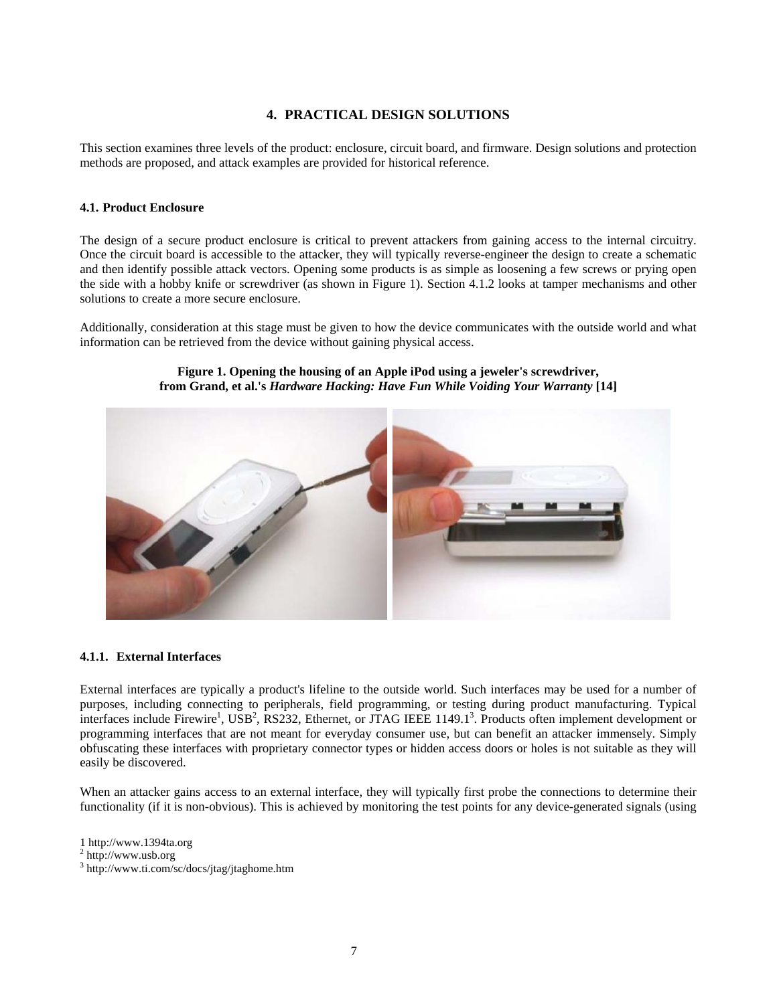# **4. PRACTICAL DESIGN SOLUTIONS**

This section examines three levels of the product: enclosure, circuit board, and firmware. Design solutions and protection methods are proposed, and attack examples are provided for historical reference.

#### **4.1. Product Enclosure**

The design of a secure product enclosure is critical to prevent attackers from gaining access to the internal circuitry. Once the circuit board is accessible to the attacker, they will typically reverse-engineer the design to create a schematic and then identify possible attack vectors. Opening some products is as simple as loosening a few screws or prying open the side with a hobby knife or screwdriver (as shown in Figure 1). Section 4.1.2 looks at tamper mechanisms and other solutions to create a more secure enclosure.

Additionally, consideration at this stage must be given to how the device communicates with the outside world and what information can be retrieved from the device without gaining physical access.



## **Figure 1. Opening the housing of an Apple iPod using a jeweler's screwdriver, from Grand, et al.'s** *Hardware Hacking: Have Fun While Voiding Your Warranty* **[14]**

#### **4.1.1. External Interfaces**

External interfaces are typically a product's lifeline to the outside world. Such interfaces may be used for a number of purposes, including connecting to peripherals, field programming, or testing during product manufacturing. Typical interfaces include Firewire<sup>1</sup>, USB<sup>2</sup>, RS232, Ethernet, or JTAG IEEE 1149.1<sup>3</sup>. Products often implement development or programming interfaces that are not meant for everyday consumer use, but can benefit an attacker immensely. Simply obfuscating these interfaces with proprietary connector types or hidden access doors or holes is not suitable as they will easily be discovered.

When an attacker gains access to an external interface, they will typically first probe the connections to determine their functionality (if it is non-obvious). This is achieved by monitoring the test points for any device-generated signals (using

1 http://www.1394ta.org

 $2$  http://www.usb.org

<sup>3</sup> http://www.ti.com/sc/docs/jtag/jtaghome.htm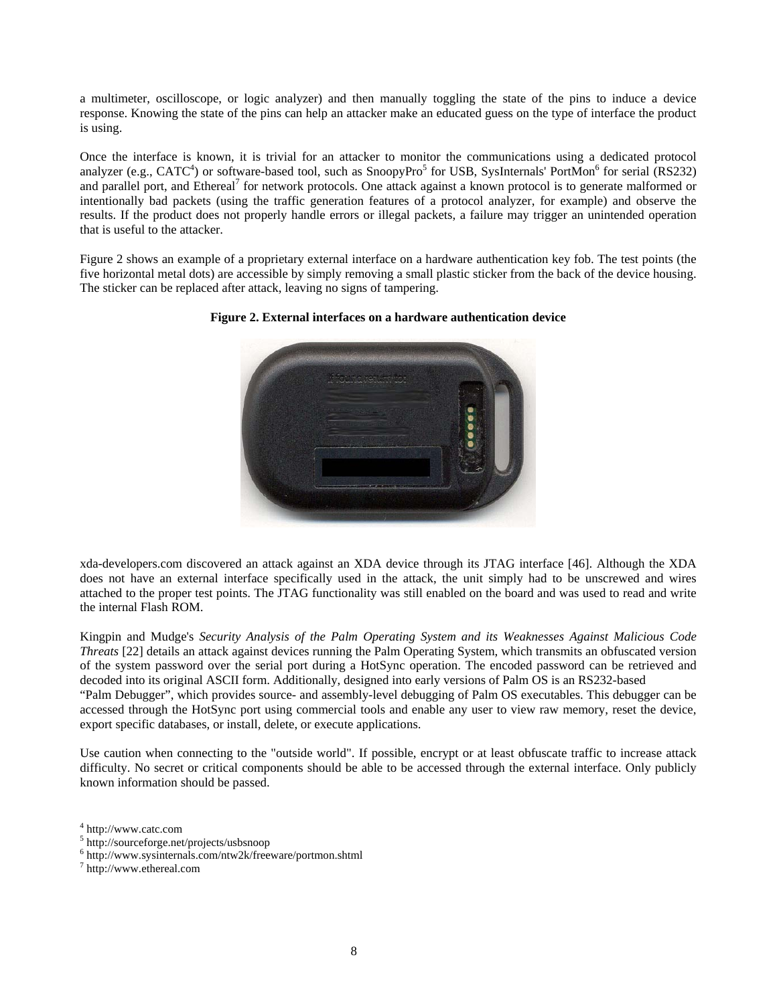a multimeter, oscilloscope, or logic analyzer) and then manually toggling the state of the pins to induce a device response. Knowing the state of the pins can help an attacker make an educated guess on the type of interface the product is using.

Once the interface is known, it is trivial for an attacker to monitor the communications using a dedicated protocol analyzer (e.g., CATC<sup>4</sup>) or software-based tool, such as SnoopyPro<sup>5</sup> for USB, SysInternals' PortMon<sup>6</sup> for serial (RS232) and parallel port, and Ethereal<sup>7</sup> for network protocols. One attack against a known protocol is to generate malformed or intentionally bad packets (using the traffic generation features of a protocol analyzer, for example) and observe the results. If the product does not properly handle errors or illegal packets, a failure may trigger an unintended operation that is useful to the attacker.

Figure 2 shows an example of a proprietary external interface on a hardware authentication key fob. The test points (the five horizontal metal dots) are accessible by simply removing a small plastic sticker from the back of the device housing. The sticker can be replaced after attack, leaving no signs of tampering.



## **Figure 2. External interfaces on a hardware authentication device**

xda-developers.com discovered an attack against an XDA device through its JTAG interface [46]. Although the XDA does not have an external interface specifically used in the attack, the unit simply had to be unscrewed and wires attached to the proper test points. The JTAG functionality was still enabled on the board and was used to read and write the internal Flash ROM.

Kingpin and Mudge's *Security Analysis of the Palm Operating System and its Weaknesses Against Malicious Code Threats* [22] details an attack against devices running the Palm Operating System, which transmits an obfuscated version of the system password over the serial port during a HotSync operation. The encoded password can be retrieved and decoded into its original ASCII form. Additionally, designed into early versions of Palm OS is an RS232-based "Palm Debugger", which provides source- and assembly-level debugging of Palm OS executables. This debugger can be accessed through the HotSync port using commercial tools and enable any user to view raw memory, reset the device, export specific databases, or install, delete, or execute applications.

Use caution when connecting to the "outside world". If possible, encrypt or at least obfuscate traffic to increase attack difficulty. No secret or critical components should be able to be accessed through the external interface. Only publicly known information should be passed.

<sup>4</sup> http://www.catc.com

<sup>&</sup>lt;sup>5</sup> http://sourceforge.net/projects/usbsnoop

 $6$  http://www.sysinternals.com/ntw2k/freeware/portmon.shtml

http://www.ethereal.com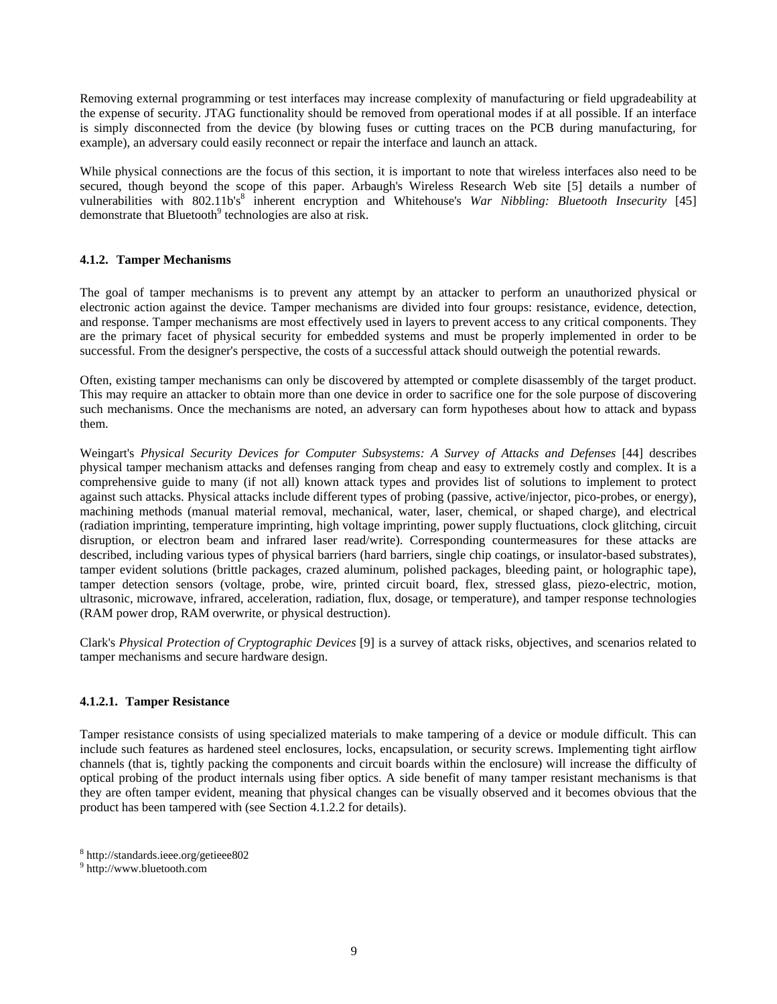Removing external programming or test interfaces may increase complexity of manufacturing or field upgradeability at the expense of security. JTAG functionality should be removed from operational modes if at all possible. If an interface is simply disconnected from the device (by blowing fuses or cutting traces on the PCB during manufacturing, for example), an adversary could easily reconnect or repair the interface and launch an attack.

While physical connections are the focus of this section, it is important to note that wireless interfaces also need to be secured, though beyond the scope of this paper. Arbaugh's Wireless Research Web site [5] details a number of vulnerabilities with 802.11b's<sup>8</sup> inherent encryption and Whitehouse's *War Nibbling: Bluetooth Insecurity* [45] demonstrate that Bluetooth $9$  technologies are also at risk.

## **4.1.2. Tamper Mechanisms**

The goal of tamper mechanisms is to prevent any attempt by an attacker to perform an unauthorized physical or electronic action against the device. Tamper mechanisms are divided into four groups: resistance, evidence, detection, and response. Tamper mechanisms are most effectively used in layers to prevent access to any critical components. They are the primary facet of physical security for embedded systems and must be properly implemented in order to be successful. From the designer's perspective, the costs of a successful attack should outweigh the potential rewards.

Often, existing tamper mechanisms can only be discovered by attempted or complete disassembly of the target product. This may require an attacker to obtain more than one device in order to sacrifice one for the sole purpose of discovering such mechanisms. Once the mechanisms are noted, an adversary can form hypotheses about how to attack and bypass them.

Weingart's *Physical Security Devices for Computer Subsystems: A Survey of Attacks and Defenses* [44] describes physical tamper mechanism attacks and defenses ranging from cheap and easy to extremely costly and complex. It is a comprehensive guide to many (if not all) known attack types and provides list of solutions to implement to protect against such attacks. Physical attacks include different types of probing (passive, active/injector, pico-probes, or energy), machining methods (manual material removal, mechanical, water, laser, chemical, or shaped charge), and electrical (radiation imprinting, temperature imprinting, high voltage imprinting, power supply fluctuations, clock glitching, circuit disruption, or electron beam and infrared laser read/write). Corresponding countermeasures for these attacks are described, including various types of physical barriers (hard barriers, single chip coatings, or insulator-based substrates), tamper evident solutions (brittle packages, crazed aluminum, polished packages, bleeding paint, or holographic tape), tamper detection sensors (voltage, probe, wire, printed circuit board, flex, stressed glass, piezo-electric, motion, ultrasonic, microwave, infrared, acceleration, radiation, flux, dosage, or temperature), and tamper response technologies (RAM power drop, RAM overwrite, or physical destruction).

Clark's *Physical Protection of Cryptographic Devices* [9] is a survey of attack risks, objectives, and scenarios related to tamper mechanisms and secure hardware design.

#### **4.1.2.1. Tamper Resistance**

Tamper resistance consists of using specialized materials to make tampering of a device or module difficult. This can include such features as hardened steel enclosures, locks, encapsulation, or security screws. Implementing tight airflow channels (that is, tightly packing the components and circuit boards within the enclosure) will increase the difficulty of optical probing of the product internals using fiber optics. A side benefit of many tamper resistant mechanisms is that they are often tamper evident, meaning that physical changes can be visually observed and it becomes obvious that the product has been tampered with (see Section 4.1.2.2 for details).

<sup>8</sup> http://standards.ieee.org/getieee802

<sup>9</sup> http://www.bluetooth.com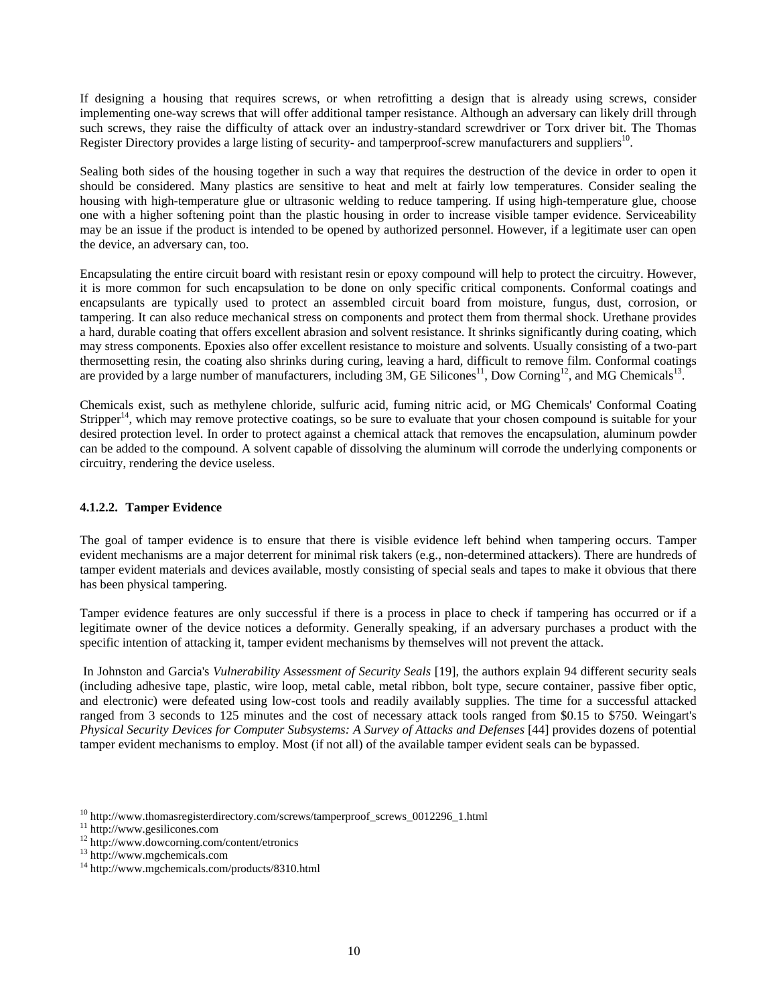If designing a housing that requires screws, or when retrofitting a design that is already using screws, consider implementing one-way screws that will offer additional tamper resistance. Although an adversary can likely drill through such screws, they raise the difficulty of attack over an industry-standard screwdriver or Torx driver bit. The Thomas Register Directory provides a large listing of security- and tamperproof-screw manufacturers and suppliers $^{10}$ .

Sealing both sides of the housing together in such a way that requires the destruction of the device in order to open it should be considered. Many plastics are sensitive to heat and melt at fairly low temperatures. Consider sealing the housing with high-temperature glue or ultrasonic welding to reduce tampering. If using high-temperature glue, choose one with a higher softening point than the plastic housing in order to increase visible tamper evidence. Serviceability may be an issue if the product is intended to be opened by authorized personnel. However, if a legitimate user can open the device, an adversary can, too.

Encapsulating the entire circuit board with resistant resin or epoxy compound will help to protect the circuitry. However, it is more common for such encapsulation to be done on only specific critical components. Conformal coatings and encapsulants are typically used to protect an assembled circuit board from moisture, fungus, dust, corrosion, or tampering. It can also reduce mechanical stress on components and protect them from thermal shock. Urethane provides a hard, durable coating that offers excellent abrasion and solvent resistance. It shrinks significantly during coating, which may stress components. Epoxies also offer excellent resistance to moisture and solvents. Usually consisting of a two-part thermosetting resin, the coating also shrinks during curing, leaving a hard, difficult to remove film. Conformal coatings are provided by a large number of manufacturers, including 3M, GE Silicones<sup>11</sup>, Dow Corning<sup>12</sup>, and MG Chemicals<sup>13</sup>.

Chemicals exist, such as methylene chloride, sulfuric acid, fuming nitric acid, or MG Chemicals' Conformal Coating Stripper<sup>14</sup>, which may remove protective coatings, so be sure to evaluate that your chosen compound is suitable for your desired protection level. In order to protect against a chemical attack that removes the encapsulation, aluminum powder can be added to the compound. A solvent capable of dissolving the aluminum will corrode the underlying components or circuitry, rendering the device useless.

## **4.1.2.2. Tamper Evidence**

The goal of tamper evidence is to ensure that there is visible evidence left behind when tampering occurs. Tamper evident mechanisms are a major deterrent for minimal risk takers (e.g., non-determined attackers). There are hundreds of tamper evident materials and devices available, mostly consisting of special seals and tapes to make it obvious that there has been physical tampering.

Tamper evidence features are only successful if there is a process in place to check if tampering has occurred or if a legitimate owner of the device notices a deformity. Generally speaking, if an adversary purchases a product with the specific intention of attacking it, tamper evident mechanisms by themselves will not prevent the attack.

 In Johnston and Garcia's *Vulnerability Assessment of Security Seals* [19], the authors explain 94 different security seals (including adhesive tape, plastic, wire loop, metal cable, metal ribbon, bolt type, secure container, passive fiber optic, and electronic) were defeated using low-cost tools and readily availably supplies. The time for a successful attacked ranged from 3 seconds to 125 minutes and the cost of necessary attack tools ranged from \$0.15 to \$750. Weingart's *Physical Security Devices for Computer Subsystems: A Survey of Attacks and Defenses* [44] provides dozens of potential tamper evident mechanisms to employ. Most (if not all) of the available tamper evident seals can be bypassed.

<sup>&</sup>lt;sup>10</sup> http://www.thomasregisterdirectory.com/screws/tamperproof\_screws\_0012296\_1.html <sup>11</sup> http://www.gesilicones.com <sup>12</sup> http://www.dowcorning.com/content/etronics

<sup>13</sup> http://www.mgchemicals.com

<sup>14</sup> http://www.mgchemicals.com/products/8310.html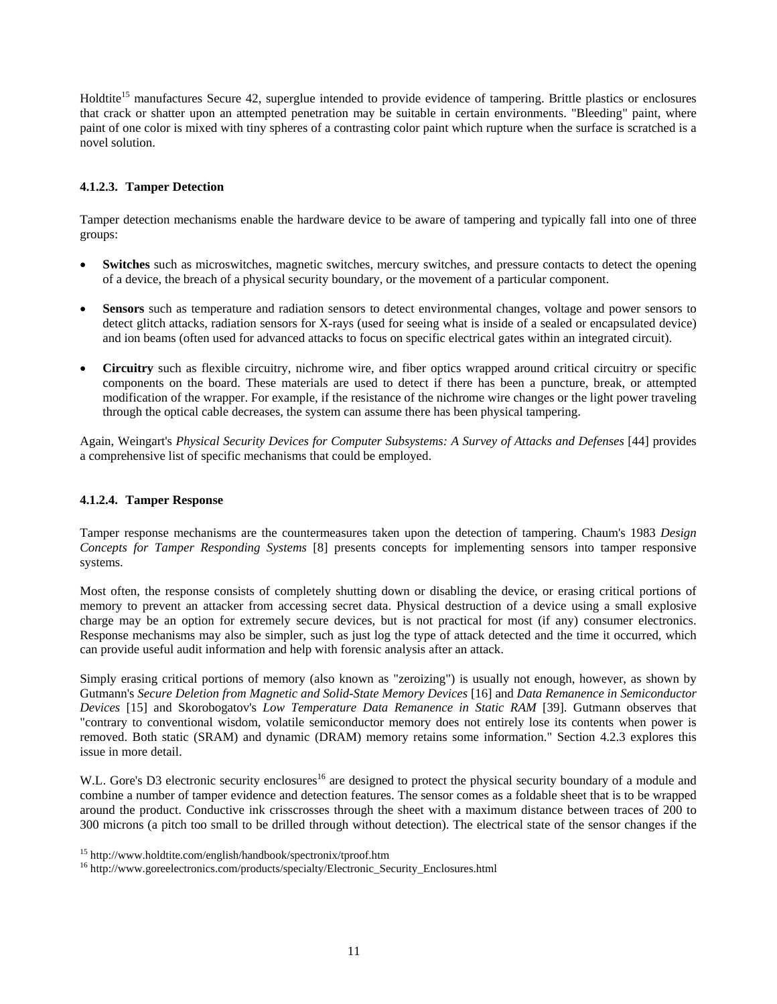Holdtite<sup>15</sup> manufactures Secure 42, superglue intended to provide evidence of tampering. Brittle plastics or enclosures that crack or shatter upon an attempted penetration may be suitable in certain environments. "Bleeding" paint, where paint of one color is mixed with tiny spheres of a contrasting color paint which rupture when the surface is scratched is a novel solution.

## **4.1.2.3. Tamper Detection**

Tamper detection mechanisms enable the hardware device to be aware of tampering and typically fall into one of three groups:

- **Switches** such as microswitches, magnetic switches, mercury switches, and pressure contacts to detect the opening of a device, the breach of a physical security boundary, or the movement of a particular component.
- **Sensors** such as temperature and radiation sensors to detect environmental changes, voltage and power sensors to detect glitch attacks, radiation sensors for X-rays (used for seeing what is inside of a sealed or encapsulated device) and ion beams (often used for advanced attacks to focus on specific electrical gates within an integrated circuit).
- **Circuitry** such as flexible circuitry, nichrome wire, and fiber optics wrapped around critical circuitry or specific components on the board. These materials are used to detect if there has been a puncture, break, or attempted modification of the wrapper. For example, if the resistance of the nichrome wire changes or the light power traveling through the optical cable decreases, the system can assume there has been physical tampering.

Again, Weingart's *Physical Security Devices for Computer Subsystems: A Survey of Attacks and Defenses* [44] provides a comprehensive list of specific mechanisms that could be employed.

## **4.1.2.4. Tamper Response**

Tamper response mechanisms are the countermeasures taken upon the detection of tampering. Chaum's 1983 *Design Concepts for Tamper Responding Systems* [8] presents concepts for implementing sensors into tamper responsive systems.

Most often, the response consists of completely shutting down or disabling the device, or erasing critical portions of memory to prevent an attacker from accessing secret data. Physical destruction of a device using a small explosive charge may be an option for extremely secure devices, but is not practical for most (if any) consumer electronics. Response mechanisms may also be simpler, such as just log the type of attack detected and the time it occurred, which can provide useful audit information and help with forensic analysis after an attack.

Simply erasing critical portions of memory (also known as "zeroizing") is usually not enough, however, as shown by Gutmann's *Secure Deletion from Magnetic and Solid-State Memory Devices* [16] and *Data Remanence in Semiconductor Devices* [15] and Skorobogatov's *Low Temperature Data Remanence in Static RAM* [39]. Gutmann observes that "contrary to conventional wisdom, volatile semiconductor memory does not entirely lose its contents when power is removed. Both static (SRAM) and dynamic (DRAM) memory retains some information." Section 4.2.3 explores this issue in more detail.

W.L. Gore's D3 electronic security enclosures<sup>16</sup> are designed to protect the physical security boundary of a module and combine a number of tamper evidence and detection features. The sensor comes as a foldable sheet that is to be wrapped around the product. Conductive ink crisscrosses through the sheet with a maximum distance between traces of 200 to 300 microns (a pitch too small to be drilled through without detection). The electrical state of the sensor changes if the

<sup>&</sup>lt;sup>15</sup> http://www.holdtite.com/english/handbook/spectronix/tproof.htm  $16$  http://www.goreelectronics.com/products/specialty/Electronic\_Security\_Enclosures.html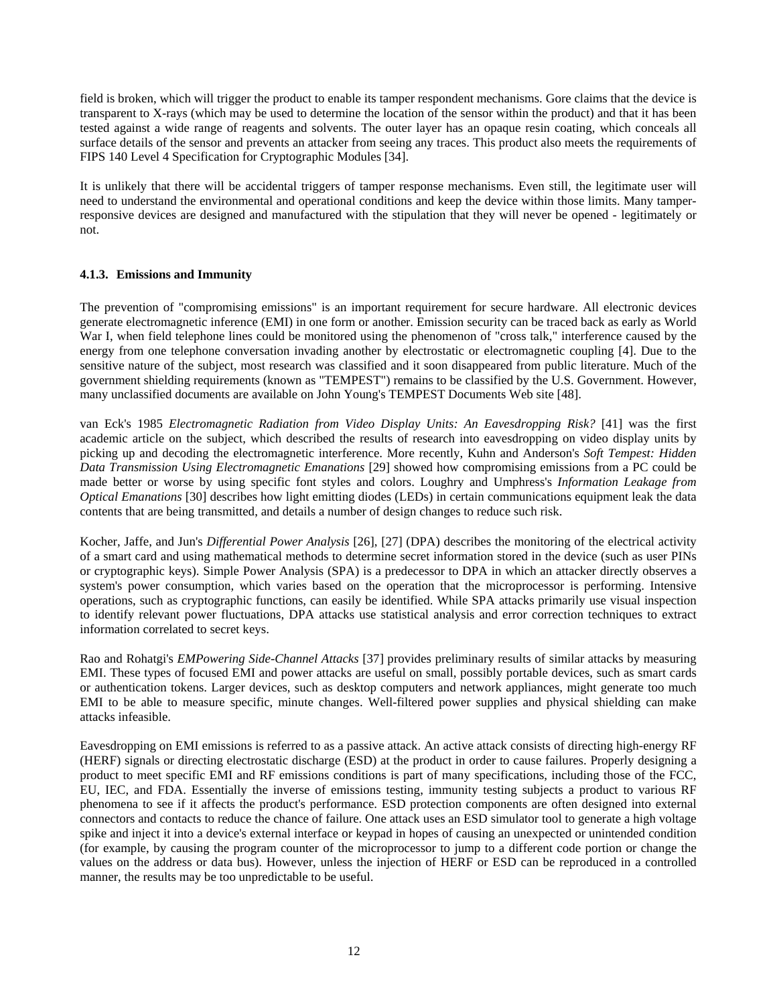field is broken, which will trigger the product to enable its tamper respondent mechanisms. Gore claims that the device is transparent to X-rays (which may be used to determine the location of the sensor within the product) and that it has been tested against a wide range of reagents and solvents. The outer layer has an opaque resin coating, which conceals all surface details of the sensor and prevents an attacker from seeing any traces. This product also meets the requirements of FIPS 140 Level 4 Specification for Cryptographic Modules [34].

It is unlikely that there will be accidental triggers of tamper response mechanisms. Even still, the legitimate user will need to understand the environmental and operational conditions and keep the device within those limits. Many tamperresponsive devices are designed and manufactured with the stipulation that they will never be opened - legitimately or not.

## **4.1.3. Emissions and Immunity**

The prevention of "compromising emissions" is an important requirement for secure hardware. All electronic devices generate electromagnetic inference (EMI) in one form or another. Emission security can be traced back as early as World War I, when field telephone lines could be monitored using the phenomenon of "cross talk," interference caused by the energy from one telephone conversation invading another by electrostatic or electromagnetic coupling [4]. Due to the sensitive nature of the subject, most research was classified and it soon disappeared from public literature. Much of the government shielding requirements (known as "TEMPEST") remains to be classified by the U.S. Government. However, many unclassified documents are available on John Young's TEMPEST Documents Web site [48].

van Eck's 1985 *Electromagnetic Radiation from Video Display Units: An Eavesdropping Risk?* [41] was the first academic article on the subject, which described the results of research into eavesdropping on video display units by picking up and decoding the electromagnetic interference. More recently, Kuhn and Anderson's *Soft Tempest: Hidden Data Transmission Using Electromagnetic Emanations* [29] showed how compromising emissions from a PC could be made better or worse by using specific font styles and colors. Loughry and Umphress's *Information Leakage from Optical Emanations* [30] describes how light emitting diodes (LEDs) in certain communications equipment leak the data contents that are being transmitted, and details a number of design changes to reduce such risk.

Kocher, Jaffe, and Jun's *Differential Power Analysis* [26], [27] (DPA) describes the monitoring of the electrical activity of a smart card and using mathematical methods to determine secret information stored in the device (such as user PINs or cryptographic keys). Simple Power Analysis (SPA) is a predecessor to DPA in which an attacker directly observes a system's power consumption, which varies based on the operation that the microprocessor is performing. Intensive operations, such as cryptographic functions, can easily be identified. While SPA attacks primarily use visual inspection to identify relevant power fluctuations, DPA attacks use statistical analysis and error correction techniques to extract information correlated to secret keys.

Rao and Rohatgi's *EMPowering Side-Channel Attacks* [37] provides preliminary results of similar attacks by measuring EMI. These types of focused EMI and power attacks are useful on small, possibly portable devices, such as smart cards or authentication tokens. Larger devices, such as desktop computers and network appliances, might generate too much EMI to be able to measure specific, minute changes. Well-filtered power supplies and physical shielding can make attacks infeasible.

Eavesdropping on EMI emissions is referred to as a passive attack. An active attack consists of directing high-energy RF (HERF) signals or directing electrostatic discharge (ESD) at the product in order to cause failures. Properly designing a product to meet specific EMI and RF emissions conditions is part of many specifications, including those of the FCC, EU, IEC, and FDA. Essentially the inverse of emissions testing, immunity testing subjects a product to various RF phenomena to see if it affects the product's performance. ESD protection components are often designed into external connectors and contacts to reduce the chance of failure. One attack uses an ESD simulator tool to generate a high voltage spike and inject it into a device's external interface or keypad in hopes of causing an unexpected or unintended condition (for example, by causing the program counter of the microprocessor to jump to a different code portion or change the values on the address or data bus). However, unless the injection of HERF or ESD can be reproduced in a controlled manner, the results may be too unpredictable to be useful.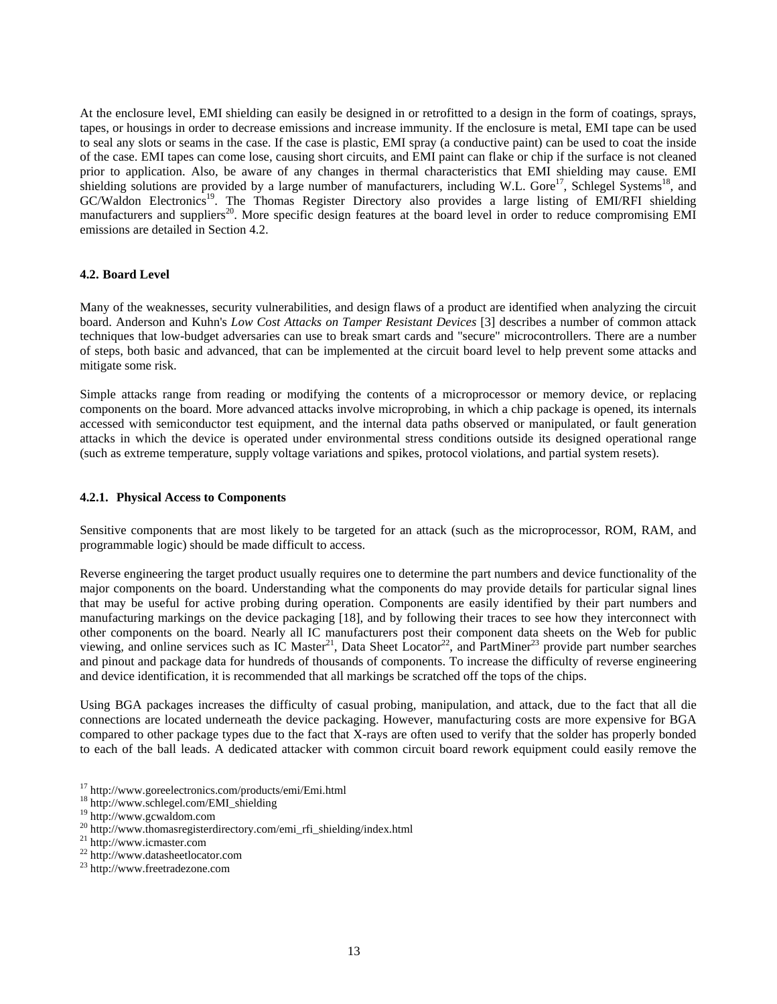At the enclosure level, EMI shielding can easily be designed in or retrofitted to a design in the form of coatings, sprays, tapes, or housings in order to decrease emissions and increase immunity. If the enclosure is metal, EMI tape can be used to seal any slots or seams in the case. If the case is plastic, EMI spray (a conductive paint) can be used to coat the inside of the case. EMI tapes can come lose, causing short circuits, and EMI paint can flake or chip if the surface is not cleaned prior to application. Also, be aware of any changes in thermal characteristics that EMI shielding may cause. EMI shielding solutions are provided by a large number of manufacturers, including W.L. Gore<sup>17</sup>, Schlegel Systems<sup>18</sup>, and GC/Waldon Electronics<sup>19</sup>. The Thomas Register Directory also provides a large listing of EMI/RFI shielding manufacturers and suppliers<sup>20</sup>. More specific design features at the board level in order to reduce compromising EMI emissions are detailed in Section 4.2.

#### **4.2. Board Level**

Many of the weaknesses, security vulnerabilities, and design flaws of a product are identified when analyzing the circuit board. Anderson and Kuhn's *Low Cost Attacks on Tamper Resistant Devices* [3] describes a number of common attack techniques that low-budget adversaries can use to break smart cards and "secure" microcontrollers. There are a number of steps, both basic and advanced, that can be implemented at the circuit board level to help prevent some attacks and mitigate some risk.

Simple attacks range from reading or modifying the contents of a microprocessor or memory device, or replacing components on the board. More advanced attacks involve microprobing, in which a chip package is opened, its internals accessed with semiconductor test equipment, and the internal data paths observed or manipulated, or fault generation attacks in which the device is operated under environmental stress conditions outside its designed operational range (such as extreme temperature, supply voltage variations and spikes, protocol violations, and partial system resets).

#### **4.2.1. Physical Access to Components**

Sensitive components that are most likely to be targeted for an attack (such as the microprocessor, ROM, RAM, and programmable logic) should be made difficult to access.

Reverse engineering the target product usually requires one to determine the part numbers and device functionality of the major components on the board. Understanding what the components do may provide details for particular signal lines that may be useful for active probing during operation. Components are easily identified by their part numbers and manufacturing markings on the device packaging [18], and by following their traces to see how they interconnect with other components on the board. Nearly all IC manufacturers post their component data sheets on the Web for public viewing, and online services such as IC Master<sup>21</sup>, Data Sheet Locator<sup>22</sup>, and PartMiner<sup>23</sup> provide part number searches and pinout and package data for hundreds of thousands of components. To increase the difficulty of reverse engineering and device identification, it is recommended that all markings be scratched off the tops of the chips.

Using BGA packages increases the difficulty of casual probing, manipulation, and attack, due to the fact that all die connections are located underneath the device packaging. However, manufacturing costs are more expensive for BGA compared to other package types due to the fact that X-rays are often used to verify that the solder has properly bonded to each of the ball leads. A dedicated attacker with common circuit board rework equipment could easily remove the

<sup>&</sup>lt;sup>17</sup> http://www.goreelectronics.com/products/emi/Emi.html <sup>18</sup> http://www.schlegel.com/EMI\_shielding <sup>19</sup> http://www.gcwaldom.com

 $^{20}$ http://www.thomasregisterdirectory.com/emi\_rfi\_shielding/index.html  $^{21}$  http://www.icmaster.com

 $^{22}$  http://www.datasheetlocator.com<br> $^{23}$  http://www.freetradezone.com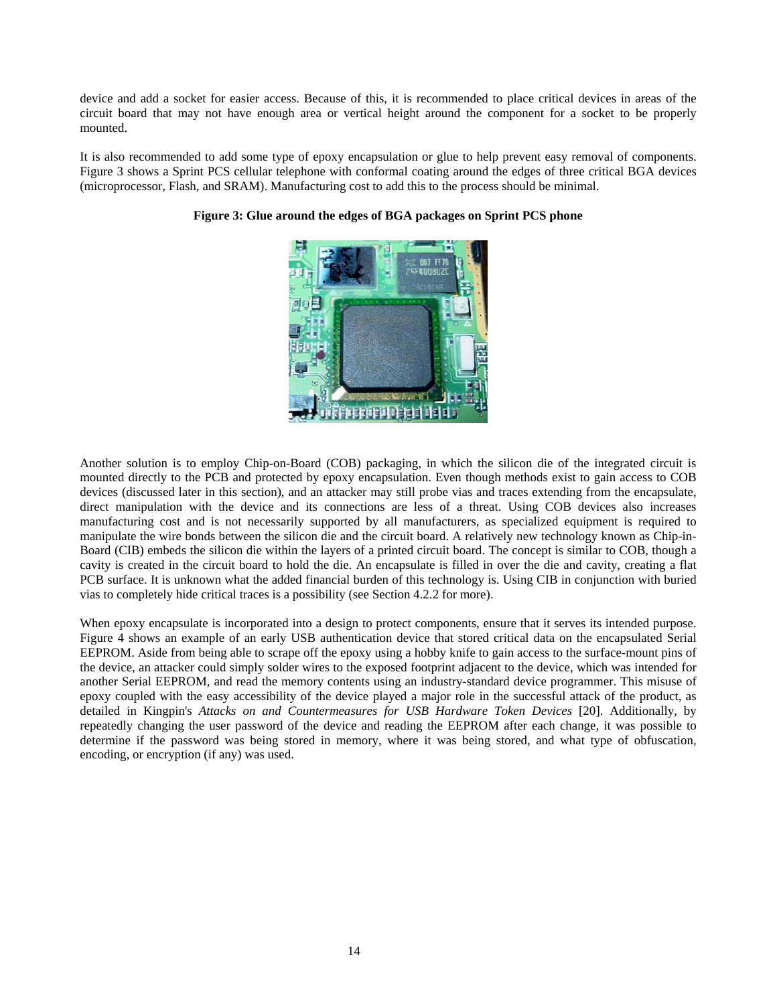device and add a socket for easier access. Because of this, it is recommended to place critical devices in areas of the circuit board that may not have enough area or vertical height around the component for a socket to be properly mounted.

It is also recommended to add some type of epoxy encapsulation or glue to help prevent easy removal of components. Figure 3 shows a Sprint PCS cellular telephone with conformal coating around the edges of three critical BGA devices (microprocessor, Flash, and SRAM). Manufacturing cost to add this to the process should be minimal.



**Figure 3: Glue around the edges of BGA packages on Sprint PCS phone** 

Another solution is to employ Chip-on-Board (COB) packaging, in which the silicon die of the integrated circuit is mounted directly to the PCB and protected by epoxy encapsulation. Even though methods exist to gain access to COB devices (discussed later in this section), and an attacker may still probe vias and traces extending from the encapsulate, direct manipulation with the device and its connections are less of a threat. Using COB devices also increases manufacturing cost and is not necessarily supported by all manufacturers, as specialized equipment is required to manipulate the wire bonds between the silicon die and the circuit board. A relatively new technology known as Chip-in-Board (CIB) embeds the silicon die within the layers of a printed circuit board. The concept is similar to COB, though a cavity is created in the circuit board to hold the die. An encapsulate is filled in over the die and cavity, creating a flat PCB surface. It is unknown what the added financial burden of this technology is. Using CIB in conjunction with buried vias to completely hide critical traces is a possibility (see Section 4.2.2 for more).

When epoxy encapsulate is incorporated into a design to protect components, ensure that it serves its intended purpose. Figure 4 shows an example of an early USB authentication device that stored critical data on the encapsulated Serial EEPROM. Aside from being able to scrape off the epoxy using a hobby knife to gain access to the surface-mount pins of the device, an attacker could simply solder wires to the exposed footprint adjacent to the device, which was intended for another Serial EEPROM, and read the memory contents using an industry-standard device programmer. This misuse of epoxy coupled with the easy accessibility of the device played a major role in the successful attack of the product, as detailed in Kingpin's *Attacks on and Countermeasures for USB Hardware Token Devices* [20]. Additionally, by repeatedly changing the user password of the device and reading the EEPROM after each change, it was possible to determine if the password was being stored in memory, where it was being stored, and what type of obfuscation, encoding, or encryption (if any) was used.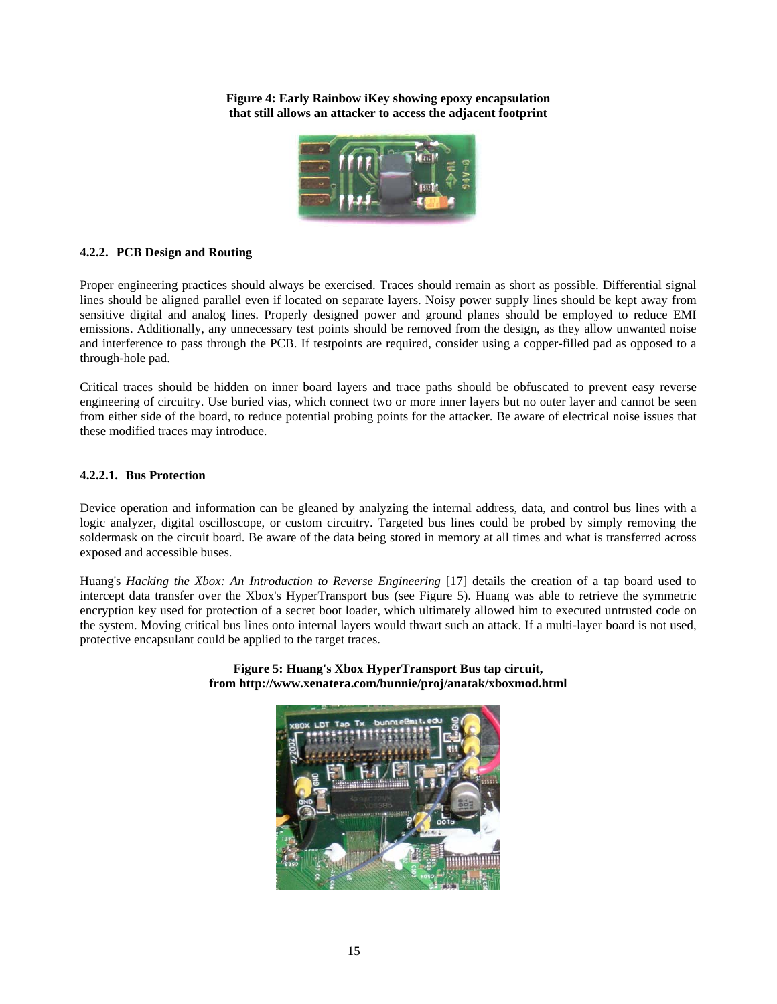**Figure 4: Early Rainbow iKey showing epoxy encapsulation that still allows an attacker to access the adjacent footprint** 



## **4.2.2. PCB Design and Routing**

Proper engineering practices should always be exercised. Traces should remain as short as possible. Differential signal lines should be aligned parallel even if located on separate layers. Noisy power supply lines should be kept away from sensitive digital and analog lines. Properly designed power and ground planes should be employed to reduce EMI emissions. Additionally, any unnecessary test points should be removed from the design, as they allow unwanted noise and interference to pass through the PCB. If testpoints are required, consider using a copper-filled pad as opposed to a through-hole pad.

Critical traces should be hidden on inner board layers and trace paths should be obfuscated to prevent easy reverse engineering of circuitry. Use buried vias, which connect two or more inner layers but no outer layer and cannot be seen from either side of the board, to reduce potential probing points for the attacker. Be aware of electrical noise issues that these modified traces may introduce.

## **4.2.2.1. Bus Protection**

Device operation and information can be gleaned by analyzing the internal address, data, and control bus lines with a logic analyzer, digital oscilloscope, or custom circuitry. Targeted bus lines could be probed by simply removing the soldermask on the circuit board. Be aware of the data being stored in memory at all times and what is transferred across exposed and accessible buses.

Huang's *Hacking the Xbox: An Introduction to Reverse Engineering* [17] details the creation of a tap board used to intercept data transfer over the Xbox's HyperTransport bus (see Figure 5). Huang was able to retrieve the symmetric encryption key used for protection of a secret boot loader, which ultimately allowed him to executed untrusted code on the system. Moving critical bus lines onto internal layers would thwart such an attack. If a multi-layer board is not used, protective encapsulant could be applied to the target traces.



**Figure 5: Huang's Xbox HyperTransport Bus tap circuit, from http://www.xenatera.com/bunnie/proj/anatak/xboxmod.html**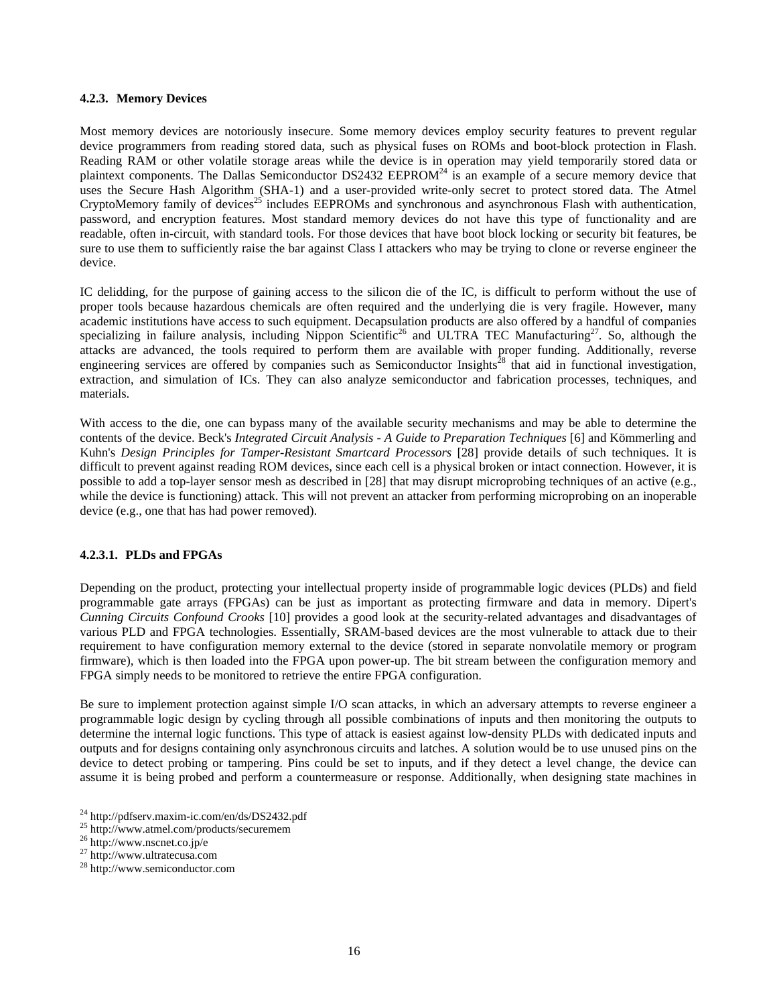#### **4.2.3. Memory Devices**

Most memory devices are notoriously insecure. Some memory devices employ security features to prevent regular device programmers from reading stored data, such as physical fuses on ROMs and boot-block protection in Flash. Reading RAM or other volatile storage areas while the device is in operation may yield temporarily stored data or plaintext components. The Dallas Semiconductor  $DS2432$  EEPROM<sup>24</sup> is an example of a secure memory device that uses the Secure Hash Algorithm (SHA-1) and a user-provided write-only secret to protect stored data. The Atmel CryptoMemory family of devices<sup>25</sup> includes EEPROMs and synchronous and asynchronous Flash with authentication, password, and encryption features. Most standard memory devices do not have this type of functionality and are readable, often in-circuit, with standard tools. For those devices that have boot block locking or security bit features, be sure to use them to sufficiently raise the bar against Class I attackers who may be trying to clone or reverse engineer the device.

IC delidding, for the purpose of gaining access to the silicon die of the IC, is difficult to perform without the use of proper tools because hazardous chemicals are often required and the underlying die is very fragile. However, many academic institutions have access to such equipment. Decapsulation products are also offered by a handful of companies specializing in failure analysis, including Nippon Scientific<sup>26</sup> and ULTRA TEC Manufacturing<sup>27</sup>. So, although the attacks are advanced, the tools required to perform them are available with proper funding. Additionally, reverse engineering services are offered by companies such as Semiconductor Insights<sup>28</sup> that aid in functional investigation, extraction, and simulation of ICs. They can also analyze semiconductor and fabrication processes, techniques, and materials.

With access to the die, one can bypass many of the available security mechanisms and may be able to determine the contents of the device. Beck's *Integrated Circuit Analysis - A Guide to Preparation Techniques* [6] and Kömmerling and Kuhn's *Design Principles for Tamper-Resistant Smartcard Processors* [28] provide details of such techniques. It is difficult to prevent against reading ROM devices, since each cell is a physical broken or intact connection. However, it is possible to add a top-layer sensor mesh as described in [28] that may disrupt microprobing techniques of an active (e.g., while the device is functioning) attack. This will not prevent an attacker from performing microprobing on an inoperable device (e.g., one that has had power removed).

#### **4.2.3.1. PLDs and FPGAs**

Depending on the product, protecting your intellectual property inside of programmable logic devices (PLDs) and field programmable gate arrays (FPGAs) can be just as important as protecting firmware and data in memory. Dipert's *Cunning Circuits Confound Crooks* [10] provides a good look at the security-related advantages and disadvantages of various PLD and FPGA technologies. Essentially, SRAM-based devices are the most vulnerable to attack due to their requirement to have configuration memory external to the device (stored in separate nonvolatile memory or program firmware), which is then loaded into the FPGA upon power-up. The bit stream between the configuration memory and FPGA simply needs to be monitored to retrieve the entire FPGA configuration.

Be sure to implement protection against simple I/O scan attacks, in which an adversary attempts to reverse engineer a programmable logic design by cycling through all possible combinations of inputs and then monitoring the outputs to determine the internal logic functions. This type of attack is easiest against low-density PLDs with dedicated inputs and outputs and for designs containing only asynchronous circuits and latches. A solution would be to use unused pins on the device to detect probing or tampering. Pins could be set to inputs, and if they detect a level change, the device can assume it is being probed and perform a countermeasure or response. Additionally, when designing state machines in

<sup>&</sup>lt;sup>24</sup> http://pdfserv.maxim-ic.com/en/ds/DS2432.pdf<br> $^{25}$  http://www.atmel.com/products/securemem

<sup>26</sup> http://www.nscnet.co.jp/e

<sup>27</sup> http://www.ultratecusa.com

<sup>28</sup> http://www.semiconductor.com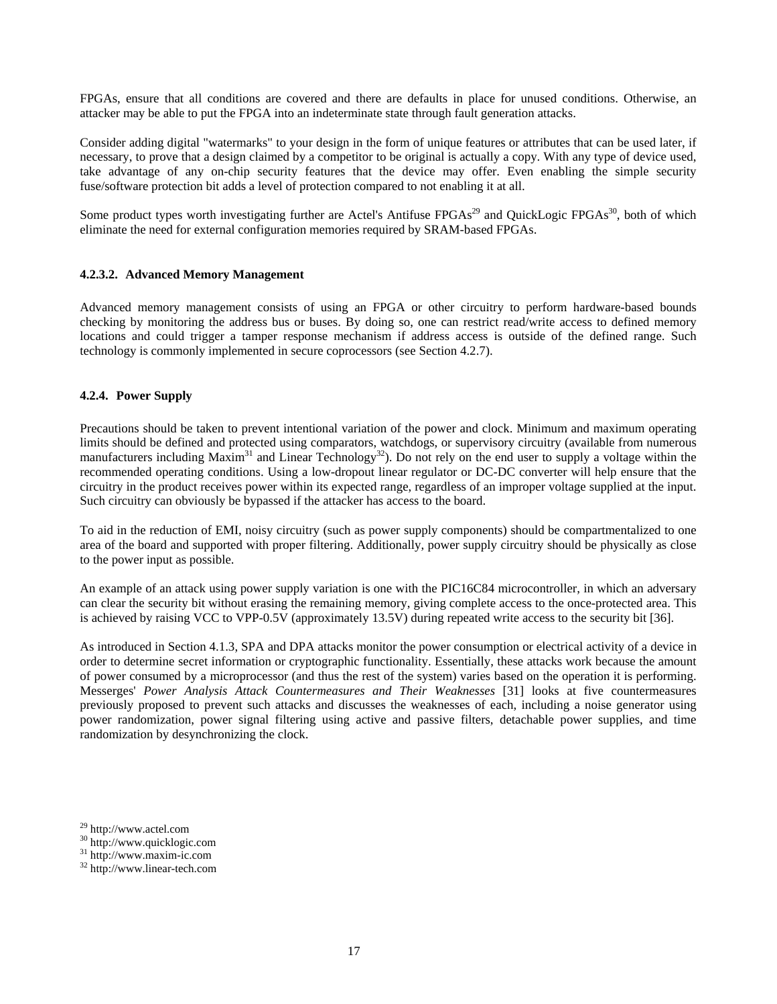FPGAs, ensure that all conditions are covered and there are defaults in place for unused conditions. Otherwise, an attacker may be able to put the FPGA into an indeterminate state through fault generation attacks.

Consider adding digital "watermarks" to your design in the form of unique features or attributes that can be used later, if necessary, to prove that a design claimed by a competitor to be original is actually a copy. With any type of device used, take advantage of any on-chip security features that the device may offer. Even enabling the simple security fuse/software protection bit adds a level of protection compared to not enabling it at all.

Some product types worth investigating further are Actel's Antifuse  $FPGAs<sup>29</sup>$  and QuickLogic  $FPGAs<sup>30</sup>$ , both of which eliminate the need for external configuration memories required by SRAM-based FPGAs.

## **4.2.3.2. Advanced Memory Management**

Advanced memory management consists of using an FPGA or other circuitry to perform hardware-based bounds checking by monitoring the address bus or buses. By doing so, one can restrict read/write access to defined memory locations and could trigger a tamper response mechanism if address access is outside of the defined range. Such technology is commonly implemented in secure coprocessors (see Section 4.2.7).

## **4.2.4. Power Supply**

Precautions should be taken to prevent intentional variation of the power and clock. Minimum and maximum operating limits should be defined and protected using comparators, watchdogs, or supervisory circuitry (available from numerous manufacturers including Maxim<sup>31</sup> and Linear Technology<sup>32</sup>). Do not rely on the end user to supply a voltage within the recommended operating conditions. Using a low-dropout linear regulator or DC-DC converter will help ensure that the circuitry in the product receives power within its expected range, regardless of an improper voltage supplied at the input. Such circuitry can obviously be bypassed if the attacker has access to the board.

To aid in the reduction of EMI, noisy circuitry (such as power supply components) should be compartmentalized to one area of the board and supported with proper filtering. Additionally, power supply circuitry should be physically as close to the power input as possible.

An example of an attack using power supply variation is one with the PIC16C84 microcontroller, in which an adversary can clear the security bit without erasing the remaining memory, giving complete access to the once-protected area. This is achieved by raising VCC to VPP-0.5V (approximately 13.5V) during repeated write access to the security bit [36].

As introduced in Section 4.1.3, SPA and DPA attacks monitor the power consumption or electrical activity of a device in order to determine secret information or cryptographic functionality. Essentially, these attacks work because the amount of power consumed by a microprocessor (and thus the rest of the system) varies based on the operation it is performing. Messerges' *Power Analysis Attack Countermeasures and Their Weaknesses* [31] looks at five countermeasures previously proposed to prevent such attacks and discusses the weaknesses of each, including a noise generator using power randomization, power signal filtering using active and passive filters, detachable power supplies, and time randomization by desynchronizing the clock.

<sup>29</sup> http://www.actel.com

<sup>30</sup> http://www.quicklogic.com

<sup>31</sup> http://www.maxim-ic.com

<sup>32</sup> http://www.linear-tech.com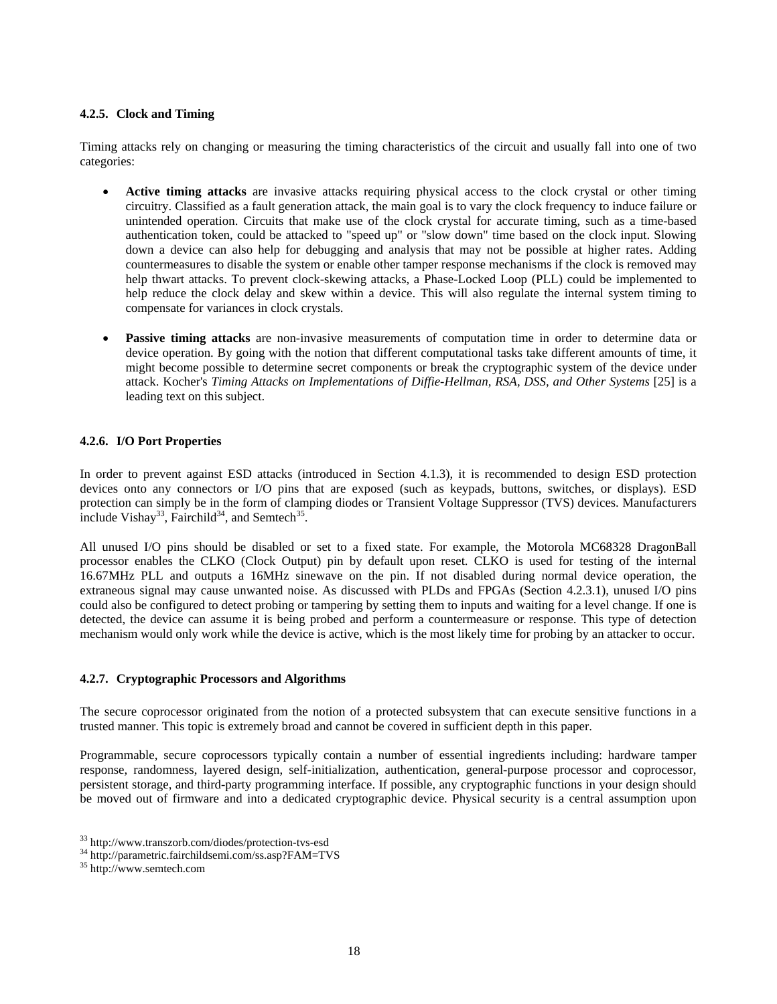## **4.2.5. Clock and Timing**

Timing attacks rely on changing or measuring the timing characteristics of the circuit and usually fall into one of two categories:

- Active timing attacks are invasive attacks requiring physical access to the clock crystal or other timing circuitry. Classified as a fault generation attack, the main goal is to vary the clock frequency to induce failure or unintended operation. Circuits that make use of the clock crystal for accurate timing, such as a time-based authentication token, could be attacked to "speed up" or "slow down" time based on the clock input. Slowing down a device can also help for debugging and analysis that may not be possible at higher rates. Adding countermeasures to disable the system or enable other tamper response mechanisms if the clock is removed may help thwart attacks. To prevent clock-skewing attacks, a Phase-Locked Loop (PLL) could be implemented to help reduce the clock delay and skew within a device. This will also regulate the internal system timing to compensate for variances in clock crystals.
- **Passive timing attacks** are non-invasive measurements of computation time in order to determine data or device operation. By going with the notion that different computational tasks take different amounts of time, it might become possible to determine secret components or break the cryptographic system of the device under attack. Kocher's *Timing Attacks on Implementations of Diffie-Hellman, RSA, DSS, and Other Systems* [25] is a leading text on this subject.

## **4.2.6. I/O Port Properties**

In order to prevent against ESD attacks (introduced in Section 4.1.3), it is recommended to design ESD protection devices onto any connectors or I/O pins that are exposed (such as keypads, buttons, switches, or displays). ESD protection can simply be in the form of clamping diodes or Transient Voltage Suppressor (TVS) devices. Manufacturers include Vishay<sup>33</sup>, Fairchild<sup>34</sup>, and Semtech<sup>35</sup>.

All unused I/O pins should be disabled or set to a fixed state. For example, the Motorola MC68328 DragonBall processor enables the CLKO (Clock Output) pin by default upon reset. CLKO is used for testing of the internal 16.67MHz PLL and outputs a 16MHz sinewave on the pin. If not disabled during normal device operation, the extraneous signal may cause unwanted noise. As discussed with PLDs and FPGAs (Section 4.2.3.1), unused I/O pins could also be configured to detect probing or tampering by setting them to inputs and waiting for a level change. If one is detected, the device can assume it is being probed and perform a countermeasure or response. This type of detection mechanism would only work while the device is active, which is the most likely time for probing by an attacker to occur.

#### **4.2.7. Cryptographic Processors and Algorithms**

The secure coprocessor originated from the notion of a protected subsystem that can execute sensitive functions in a trusted manner. This topic is extremely broad and cannot be covered in sufficient depth in this paper.

Programmable, secure coprocessors typically contain a number of essential ingredients including: hardware tamper response, randomness, layered design, self-initialization, authentication, general-purpose processor and coprocessor, persistent storage, and third-party programming interface. If possible, any cryptographic functions in your design should be moved out of firmware and into a dedicated cryptographic device. Physical security is a central assumption upon

<sup>33</sup> http://www.transzorb.com/diodes/protection-tvs-esd

<sup>34</sup> http://parametric.fairchildsemi.com/ss.asp?FAM=TVS

<sup>35</sup> http://www.semtech.com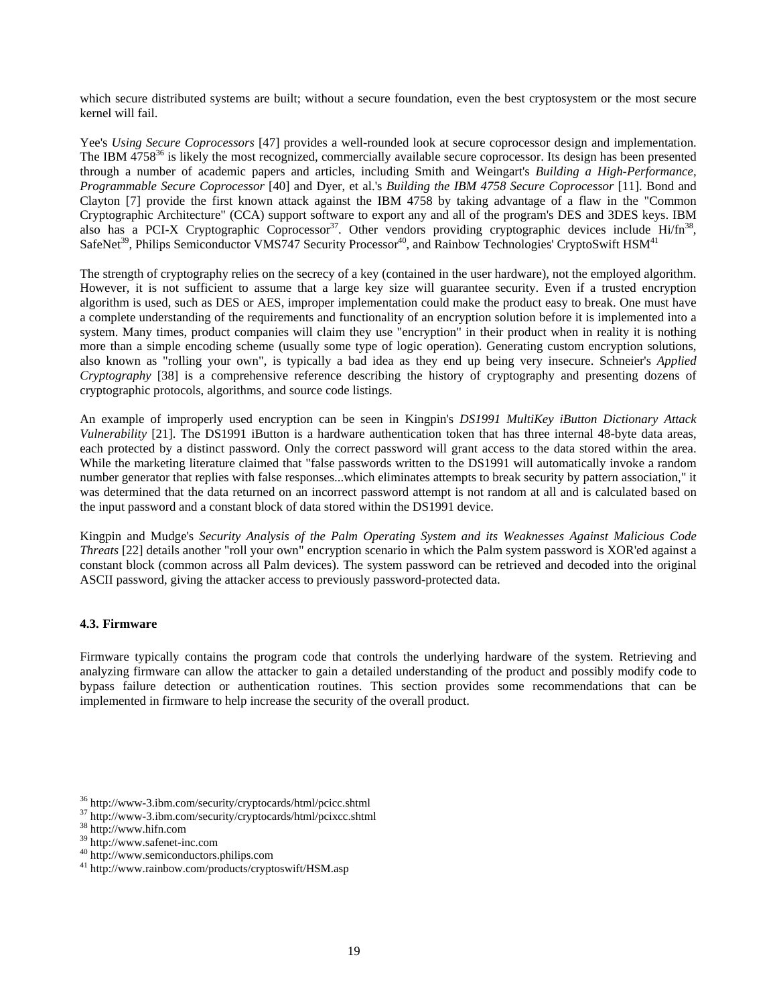which secure distributed systems are built; without a secure foundation, even the best cryptosystem or the most secure kernel will fail.

Yee's *Using Secure Coprocessors* [47] provides a well-rounded look at secure coprocessor design and implementation. The IBM  $4758^{36}$  is likely the most recognized, commercially available secure coprocessor. Its design has been presented through a number of academic papers and articles, including Smith and Weingart's *Building a High-Performance, Programmable Secure Coprocessor* [40] and Dyer, et al.'s *Building the IBM 4758 Secure Coprocessor* [11]. Bond and Clayton [7] provide the first known attack against the IBM 4758 by taking advantage of a flaw in the "Common Cryptographic Architecture" (CCA) support software to export any and all of the program's DES and 3DES keys. IBM also has a PCI-X Cryptographic Coprocessor<sup>37</sup>. Other vendors providing cryptographic devices include Hi/fn<sup>38</sup>, SafeNet<sup>39</sup>, Philips Semiconductor VMS747 Security Processor<sup>40</sup>, and Rainbow Technologies' CryptoSwift  $HSM<sup>41</sup>$ 

The strength of cryptography relies on the secrecy of a key (contained in the user hardware), not the employed algorithm. However, it is not sufficient to assume that a large key size will guarantee security. Even if a trusted encryption algorithm is used, such as DES or AES, improper implementation could make the product easy to break. One must have a complete understanding of the requirements and functionality of an encryption solution before it is implemented into a system. Many times, product companies will claim they use "encryption" in their product when in reality it is nothing more than a simple encoding scheme (usually some type of logic operation). Generating custom encryption solutions, also known as "rolling your own", is typically a bad idea as they end up being very insecure. Schneier's *Applied Cryptography* [38] is a comprehensive reference describing the history of cryptography and presenting dozens of cryptographic protocols, algorithms, and source code listings.

An example of improperly used encryption can be seen in Kingpin's *DS1991 MultiKey iButton Dictionary Attack Vulnerability* [21]. The DS1991 iButton is a hardware authentication token that has three internal 48-byte data areas, each protected by a distinct password. Only the correct password will grant access to the data stored within the area. While the marketing literature claimed that "false passwords written to the DS1991 will automatically invoke a random number generator that replies with false responses...which eliminates attempts to break security by pattern association," it was determined that the data returned on an incorrect password attempt is not random at all and is calculated based on the input password and a constant block of data stored within the DS1991 device.

Kingpin and Mudge's *Security Analysis of the Palm Operating System and its Weaknesses Against Malicious Code Threats* [22] details another "roll your own" encryption scenario in which the Palm system password is XOR'ed against a constant block (common across all Palm devices). The system password can be retrieved and decoded into the original ASCII password, giving the attacker access to previously password-protected data.

## **4.3. Firmware**

Firmware typically contains the program code that controls the underlying hardware of the system. Retrieving and analyzing firmware can allow the attacker to gain a detailed understanding of the product and possibly modify code to bypass failure detection or authentication routines. This section provides some recommendations that can be implemented in firmware to help increase the security of the overall product.

 $39 \text{ http://www.safenet-inc.com}$ <br> $40 \text{ http://www.semiconductors.phpilips.com}$ 

<sup>36</sup> http://www-3.ibm.com/security/cryptocards/html/pcicc.shtml

<sup>37</sup> http://www-3.ibm.com/security/cryptocards/html/pcixcc.shtml

<sup>38</sup> http://www.hifn.com

<sup>&</sup>lt;sup>41</sup> http://www.rainbow.com/products/cryptoswift/HSM.asp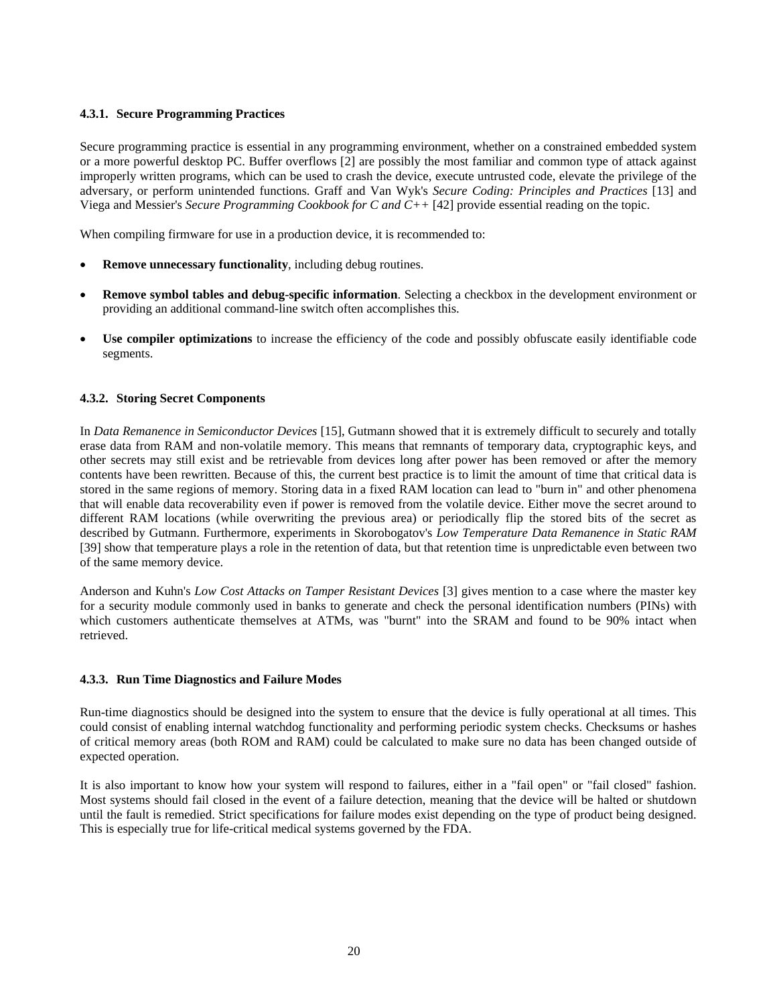## **4.3.1. Secure Programming Practices**

Secure programming practice is essential in any programming environment, whether on a constrained embedded system or a more powerful desktop PC. Buffer overflows [2] are possibly the most familiar and common type of attack against improperly written programs, which can be used to crash the device, execute untrusted code, elevate the privilege of the adversary, or perform unintended functions. Graff and Van Wyk's *Secure Coding: Principles and Practices* [13] and Viega and Messier's *Secure Programming Cookbook for C and C++* [42] provide essential reading on the topic.

When compiling firmware for use in a production device, it is recommended to:

- **Remove unnecessary functionality**, including debug routines.
- **Remove symbol tables and debug-specific information**. Selecting a checkbox in the development environment or providing an additional command-line switch often accomplishes this.
- **Use compiler optimizations** to increase the efficiency of the code and possibly obfuscate easily identifiable code segments.

## **4.3.2. Storing Secret Components**

In *Data Remanence in Semiconductor Devices* [15], Gutmann showed that it is extremely difficult to securely and totally erase data from RAM and non-volatile memory. This means that remnants of temporary data, cryptographic keys, and other secrets may still exist and be retrievable from devices long after power has been removed or after the memory contents have been rewritten. Because of this, the current best practice is to limit the amount of time that critical data is stored in the same regions of memory. Storing data in a fixed RAM location can lead to "burn in" and other phenomena that will enable data recoverability even if power is removed from the volatile device. Either move the secret around to different RAM locations (while overwriting the previous area) or periodically flip the stored bits of the secret as described by Gutmann. Furthermore, experiments in Skorobogatov's *Low Temperature Data Remanence in Static RAM* [39] show that temperature plays a role in the retention of data, but that retention time is unpredictable even between two of the same memory device.

Anderson and Kuhn's *Low Cost Attacks on Tamper Resistant Devices* [3] gives mention to a case where the master key for a security module commonly used in banks to generate and check the personal identification numbers (PINs) with which customers authenticate themselves at ATMs, was "burnt" into the SRAM and found to be 90% intact when retrieved.

#### **4.3.3. Run Time Diagnostics and Failure Modes**

Run-time diagnostics should be designed into the system to ensure that the device is fully operational at all times. This could consist of enabling internal watchdog functionality and performing periodic system checks. Checksums or hashes of critical memory areas (both ROM and RAM) could be calculated to make sure no data has been changed outside of expected operation.

It is also important to know how your system will respond to failures, either in a "fail open" or "fail closed" fashion. Most systems should fail closed in the event of a failure detection, meaning that the device will be halted or shutdown until the fault is remedied. Strict specifications for failure modes exist depending on the type of product being designed. This is especially true for life-critical medical systems governed by the FDA.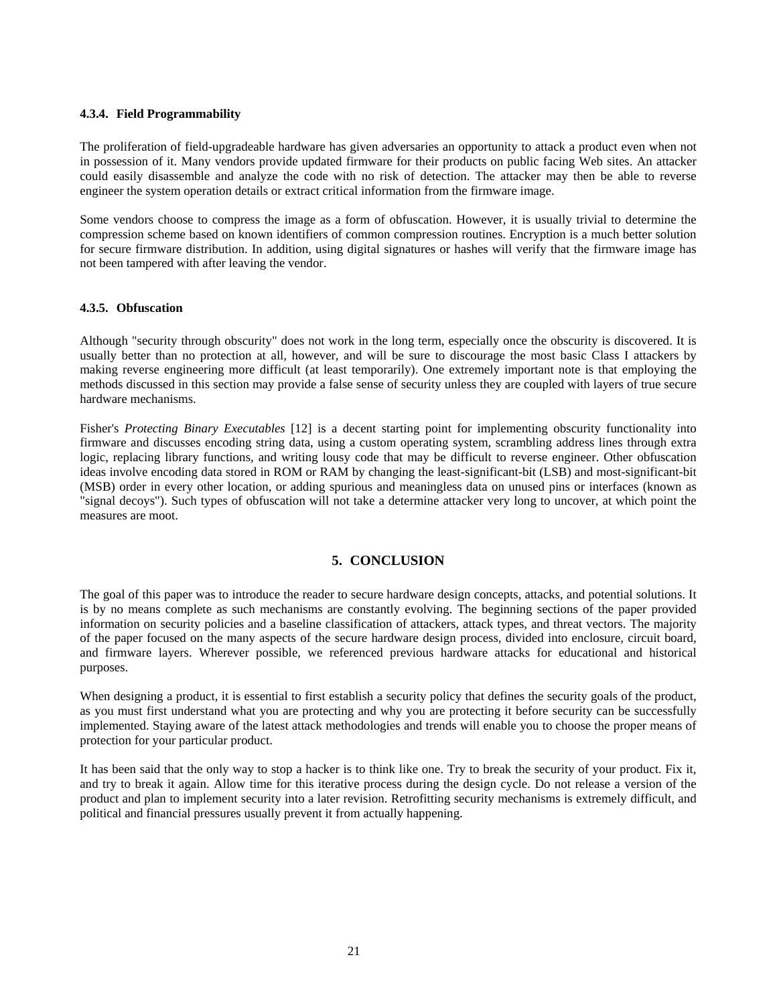#### **4.3.4. Field Programmability**

The proliferation of field-upgradeable hardware has given adversaries an opportunity to attack a product even when not in possession of it. Many vendors provide updated firmware for their products on public facing Web sites. An attacker could easily disassemble and analyze the code with no risk of detection. The attacker may then be able to reverse engineer the system operation details or extract critical information from the firmware image.

Some vendors choose to compress the image as a form of obfuscation. However, it is usually trivial to determine the compression scheme based on known identifiers of common compression routines. Encryption is a much better solution for secure firmware distribution. In addition, using digital signatures or hashes will verify that the firmware image has not been tampered with after leaving the vendor.

## **4.3.5. Obfuscation**

Although "security through obscurity" does not work in the long term, especially once the obscurity is discovered. It is usually better than no protection at all, however, and will be sure to discourage the most basic Class I attackers by making reverse engineering more difficult (at least temporarily). One extremely important note is that employing the methods discussed in this section may provide a false sense of security unless they are coupled with layers of true secure hardware mechanisms.

Fisher's *Protecting Binary Executables* [12] is a decent starting point for implementing obscurity functionality into firmware and discusses encoding string data, using a custom operating system, scrambling address lines through extra logic, replacing library functions, and writing lousy code that may be difficult to reverse engineer. Other obfuscation ideas involve encoding data stored in ROM or RAM by changing the least-significant-bit (LSB) and most-significant-bit (MSB) order in every other location, or adding spurious and meaningless data on unused pins or interfaces (known as "signal decoys"). Such types of obfuscation will not take a determine attacker very long to uncover, at which point the measures are moot.

# **5. CONCLUSION**

The goal of this paper was to introduce the reader to secure hardware design concepts, attacks, and potential solutions. It is by no means complete as such mechanisms are constantly evolving. The beginning sections of the paper provided information on security policies and a baseline classification of attackers, attack types, and threat vectors. The majority of the paper focused on the many aspects of the secure hardware design process, divided into enclosure, circuit board, and firmware layers. Wherever possible, we referenced previous hardware attacks for educational and historical purposes.

When designing a product, it is essential to first establish a security policy that defines the security goals of the product, as you must first understand what you are protecting and why you are protecting it before security can be successfully implemented. Staying aware of the latest attack methodologies and trends will enable you to choose the proper means of protection for your particular product.

It has been said that the only way to stop a hacker is to think like one. Try to break the security of your product. Fix it, and try to break it again. Allow time for this iterative process during the design cycle. Do not release a version of the product and plan to implement security into a later revision. Retrofitting security mechanisms is extremely difficult, and political and financial pressures usually prevent it from actually happening.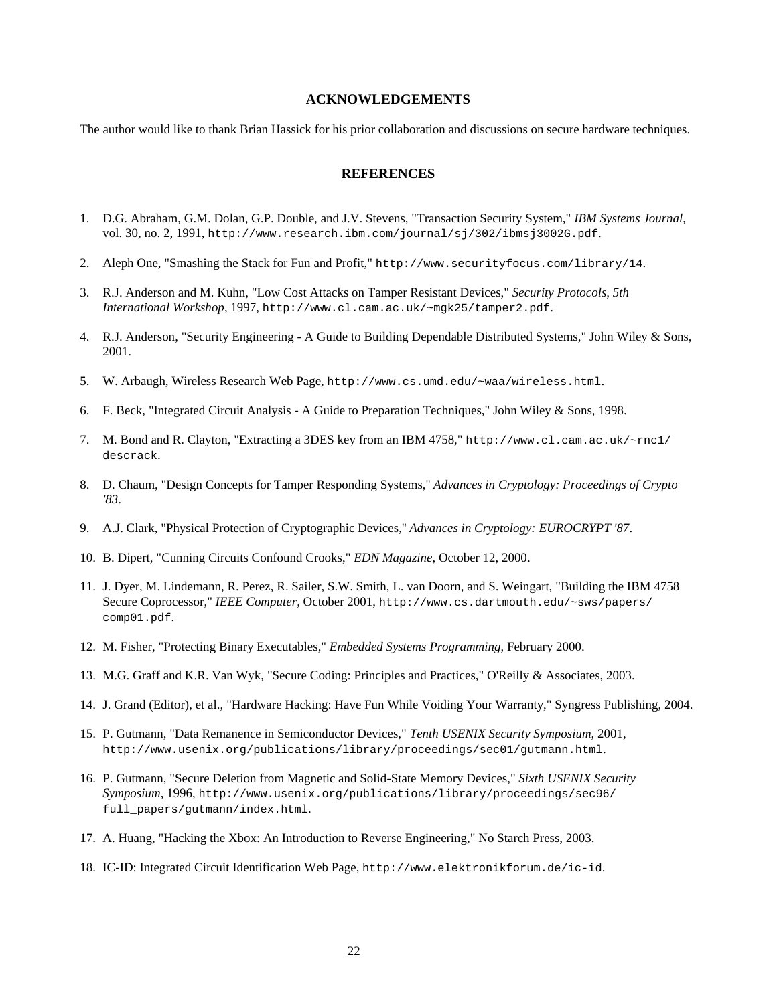#### **ACKNOWLEDGEMENTS**

The author would like to thank Brian Hassick for his prior collaboration and discussions on secure hardware techniques.

## **REFERENCES**

- 1. D.G. Abraham, G.M. Dolan, G.P. Double, and J.V. Stevens, "Transaction Security System," *IBM Systems Journal*, vol. 30, no. 2, 1991, http://www.research.ibm.com/journal/sj/302/ibmsj3002G.pdf.
- 2. Aleph One, "Smashing the Stack for Fun and Profit," http://www.securityfocus.com/library/14.
- 3. R.J. Anderson and M. Kuhn, "Low Cost Attacks on Tamper Resistant Devices," *Security Protocols, 5th International Workshop*, 1997, http://www.cl.cam.ac.uk/~mgk25/tamper2.pdf.
- 4. R.J. Anderson, "Security Engineering A Guide to Building Dependable Distributed Systems," John Wiley & Sons, 2001.
- 5. W. Arbaugh, Wireless Research Web Page, http://www.cs.umd.edu/~waa/wireless.html.
- 6. F. Beck, "Integrated Circuit Analysis A Guide to Preparation Techniques," John Wiley & Sons, 1998.
- 7. M. Bond and R. Clayton, "Extracting a 3DES key from an IBM 4758," http://www.cl.cam.ac.uk/~rnc1/ descrack.
- 8. D. Chaum, "Design Concepts for Tamper Responding Systems,'' *Advances in Cryptology: Proceedings of Crypto '83*.
- 9. A.J. Clark, "Physical Protection of Cryptographic Devices,'' *Advances in Cryptology: EUROCRYPT '87*.
- 10. B. Dipert, "Cunning Circuits Confound Crooks," *EDN Magazine*, October 12, 2000.
- 11. J. Dyer, M. Lindemann, R. Perez, R. Sailer, S.W. Smith, L. van Doorn, and S. Weingart, "Building the IBM 4758 Secure Coprocessor," *IEEE Computer,* October 2001, http://www.cs.dartmouth.edu/~sws/papers/ comp01.pdf.
- 12. M. Fisher, "Protecting Binary Executables," *Embedded Systems Programming*, February 2000.
- 13. M.G. Graff and K.R. Van Wyk, "Secure Coding: Principles and Practices," O'Reilly & Associates, 2003.
- 14. J. Grand (Editor), et al., "Hardware Hacking: Have Fun While Voiding Your Warranty," Syngress Publishing, 2004.
- 15. P. Gutmann, "Data Remanence in Semiconductor Devices," *Tenth USENIX Security Symposium*, 2001, http://www.usenix.org/publications/library/proceedings/sec01/gutmann.html.
- 16. P. Gutmann, "Secure Deletion from Magnetic and Solid-State Memory Devices," *Sixth USENIX Security Symposium*, 1996, http://www.usenix.org/publications/library/proceedings/sec96/ full\_papers/gutmann/index.html.
- 17. A. Huang, "Hacking the Xbox: An Introduction to Reverse Engineering," No Starch Press, 2003.
- 18. IC-ID: Integrated Circuit Identification Web Page, http://www.elektronikforum.de/ic-id.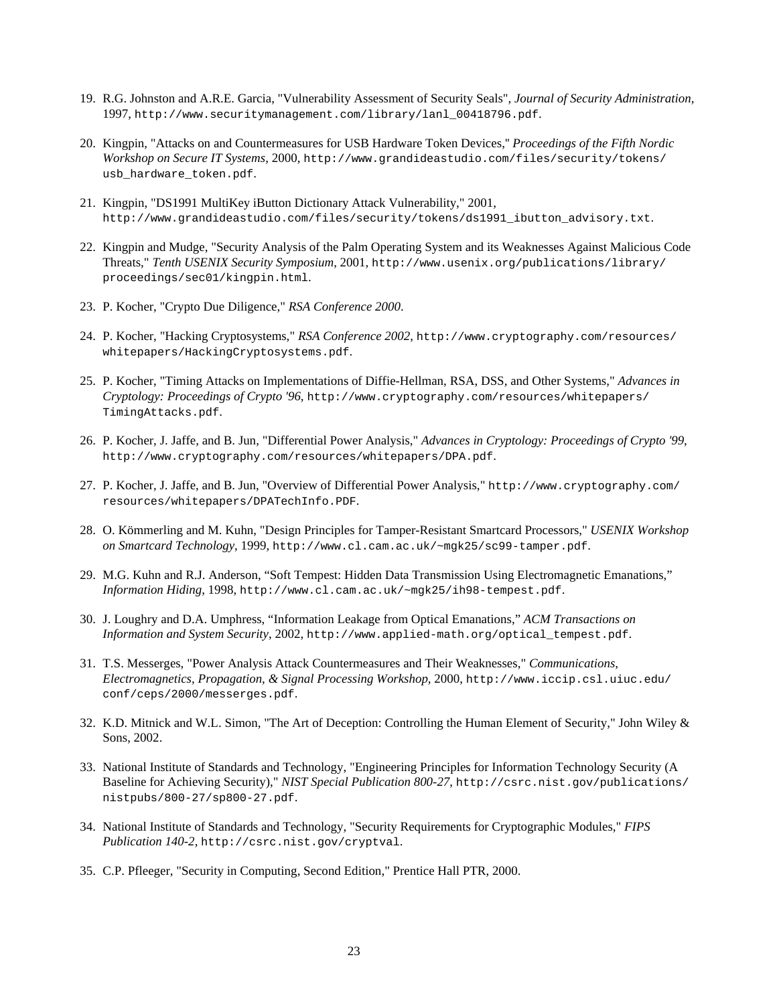- 19. R.G. Johnston and A.R.E. Garcia, "Vulnerability Assessment of Security Seals", *Journal of Security Administration*, 1997, http://www.securitymanagement.com/library/lanl\_00418796.pdf.
- 20. Kingpin, "Attacks on and Countermeasures for USB Hardware Token Devices,'' *Proceedings of the Fifth Nordic Workshop on Secure IT Systems*, 2000, http://www.grandideastudio.com/files/security/tokens/ usb\_hardware\_token.pdf.
- 21. Kingpin, "DS1991 MultiKey iButton Dictionary Attack Vulnerability," 2001, http://www.grandideastudio.com/files/security/tokens/ds1991\_ibutton\_advisory.txt.
- 22. Kingpin and Mudge, "Security Analysis of the Palm Operating System and its Weaknesses Against Malicious Code Threats," *Tenth USENIX Security Symposium*, 2001, http://www.usenix.org/publications/library/ proceedings/sec01/kingpin.html.
- 23. P. Kocher, "Crypto Due Diligence," *RSA Conference 2000*.
- 24. P. Kocher, "Hacking Cryptosystems," *RSA Conference 2002*, http://www.cryptography.com/resources/ whitepapers/HackingCryptosystems.pdf.
- 25. P. Kocher, "Timing Attacks on Implementations of Diffie-Hellman, RSA, DSS, and Other Systems," *Advances in Cryptology: Proceedings of Crypto '96*, http://www.cryptography.com/resources/whitepapers/ TimingAttacks.pdf.
- 26. P. Kocher, J. Jaffe, and B. Jun, "Differential Power Analysis," *Advances in Cryptology: Proceedings of Crypto '99*, http://www.cryptography.com/resources/whitepapers/DPA.pdf.
- 27. P. Kocher, J. Jaffe, and B. Jun, "Overview of Differential Power Analysis," http://www.cryptography.com/ resources/whitepapers/DPATechInfo.PDF.
- 28. O. Kömmerling and M. Kuhn, "Design Principles for Tamper-Resistant Smartcard Processors," *USENIX Workshop on Smartcard Technology*, 1999, http://www.cl.cam.ac.uk/~mgk25/sc99-tamper.pdf.
- 29. M.G. Kuhn and R.J. Anderson, "Soft Tempest: Hidden Data Transmission Using Electromagnetic Emanations," *Information Hiding*, 1998, http://www.cl.cam.ac.uk/~mgk25/ih98-tempest.pdf.
- 30. J. Loughry and D.A. Umphress, "Information Leakage from Optical Emanations," *ACM Transactions on Information and System Security*, 2002, http://www.applied-math.org/optical\_tempest.pdf.
- 31. T.S. Messerges, "Power Analysis Attack Countermeasures and Their Weaknesses," *Communications, Electromagnetics, Propagation, & Signal Processing Workshop*, 2000, http://www.iccip.csl.uiuc.edu/ conf/ceps/2000/messerges.pdf.
- 32. K.D. Mitnick and W.L. Simon, "The Art of Deception: Controlling the Human Element of Security," John Wiley & Sons, 2002.
- 33. National Institute of Standards and Technology, "Engineering Principles for Information Technology Security (A Baseline for Achieving Security)," *NIST Special Publication 800-27*, http://csrc.nist.gov/publications/ nistpubs/800-27/sp800-27.pdf.
- 34. National Institute of Standards and Technology, "Security Requirements for Cryptographic Modules," *FIPS Publication 140-2*, http://csrc.nist.gov/cryptval.
- 35. C.P. Pfleeger, "Security in Computing, Second Edition," Prentice Hall PTR, 2000.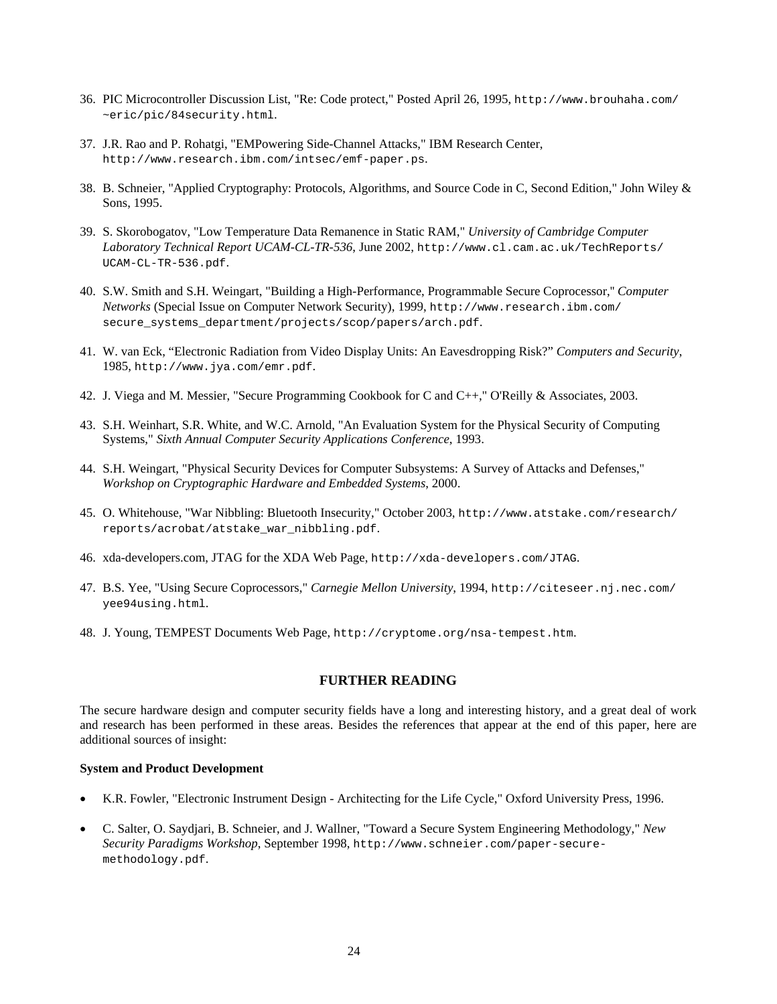- 36. PIC Microcontroller Discussion List, "Re: Code protect," Posted April 26, 1995, http://www.brouhaha.com/ ~eric/pic/84security.html.
- 37. J.R. Rao and P. Rohatgi, "EMPowering Side-Channel Attacks," IBM Research Center, http://www.research.ibm.com/intsec/emf-paper.ps.
- 38. B. Schneier, "Applied Cryptography: Protocols, Algorithms, and Source Code in C, Second Edition," John Wiley & Sons, 1995.
- 39. S. Skorobogatov, "Low Temperature Data Remanence in Static RAM," *University of Cambridge Computer Laboratory Technical Report UCAM-CL-TR-536*, June 2002, http://www.cl.cam.ac.uk/TechReports/ UCAM-CL-TR-536.pdf.
- 40. S.W. Smith and S.H. Weingart, "Building a High-Performance, Programmable Secure Coprocessor,'' *Computer Networks* (Special Issue on Computer Network Security), 1999, http://www.research.ibm.com/ secure\_systems\_department/projects/scop/papers/arch.pdf.
- 41. W. van Eck, "Electronic Radiation from Video Display Units: An Eavesdropping Risk?" *Computers and Security*, 1985, http://www.jya.com/emr.pdf.
- 42. J. Viega and M. Messier, "Secure Programming Cookbook for C and C++," O'Reilly & Associates, 2003.
- 43. S.H. Weinhart, S.R. White, and W.C. Arnold, "An Evaluation System for the Physical Security of Computing Systems," *Sixth Annual Computer Security Applications Conference*, 1993.
- 44. S.H. Weingart, "Physical Security Devices for Computer Subsystems: A Survey of Attacks and Defenses,'' *Workshop on Cryptographic Hardware and Embedded Systems*, 2000.
- 45. O. Whitehouse, "War Nibbling: Bluetooth Insecurity," October 2003, http://www.atstake.com/research/ reports/acrobat/atstake\_war\_nibbling.pdf.
- 46. xda-developers.com, JTAG for the XDA Web Page, http://xda-developers.com/JTAG.
- 47. B.S. Yee, "Using Secure Coprocessors," *Carnegie Mellon University*, 1994, http://citeseer.nj.nec.com/ yee94using.html.
- 48. J. Young, TEMPEST Documents Web Page, http://cryptome.org/nsa-tempest.htm.

## **FURTHER READING**

The secure hardware design and computer security fields have a long and interesting history, and a great deal of work and research has been performed in these areas. Besides the references that appear at the end of this paper, here are additional sources of insight:

#### **System and Product Development**

- K.R. Fowler, "Electronic Instrument Design Architecting for the Life Cycle," Oxford University Press, 1996.
- C. Salter, O. Saydjari, B. Schneier, and J. Wallner, "Toward a Secure System Engineering Methodology," *New Security Paradigms Workshop*, September 1998, http://www.schneier.com/paper-securemethodology.pdf.